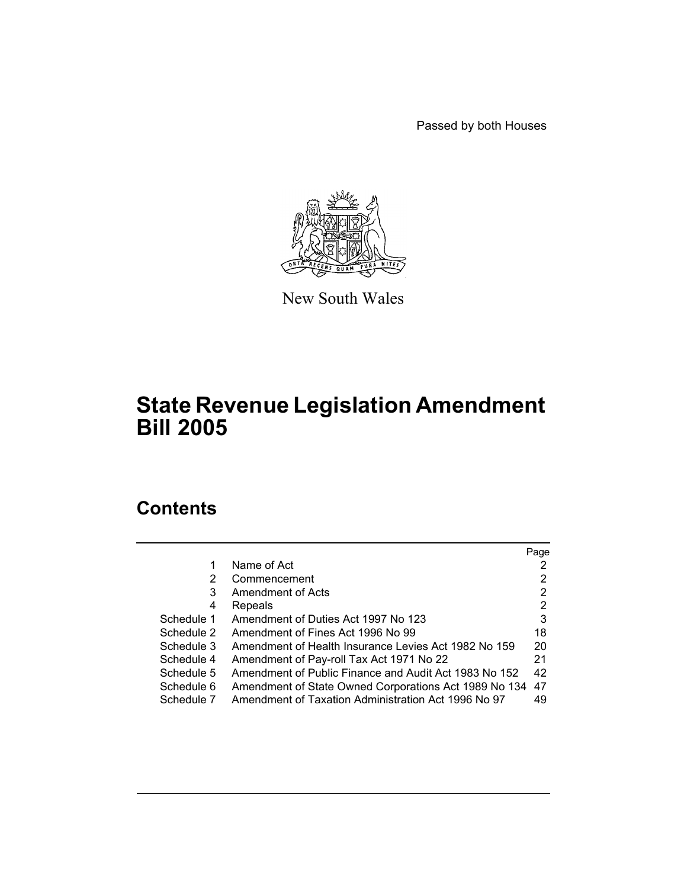Passed by both Houses



New South Wales

# **State Revenue Legislation Amendment Bill 2005**

# **Contents**

|            |                                                       | Page |
|------------|-------------------------------------------------------|------|
| 1          | Name of Act                                           |      |
| 2          | Commencement                                          | 2    |
| 3          | Amendment of Acts                                     | 2    |
| 4          | Repeals                                               | 2    |
| Schedule 1 | Amendment of Duties Act 1997 No 123                   | 3    |
| Schedule 2 | Amendment of Fines Act 1996 No 99                     | 18   |
| Schedule 3 | Amendment of Health Insurance Levies Act 1982 No 159  | 20   |
| Schedule 4 | Amendment of Pay-roll Tax Act 1971 No 22              | 21   |
| Schedule 5 | Amendment of Public Finance and Audit Act 1983 No 152 | 42   |
| Schedule 6 | Amendment of State Owned Corporations Act 1989 No 134 | 47   |
| Schedule 7 | Amendment of Taxation Administration Act 1996 No 97   | 49   |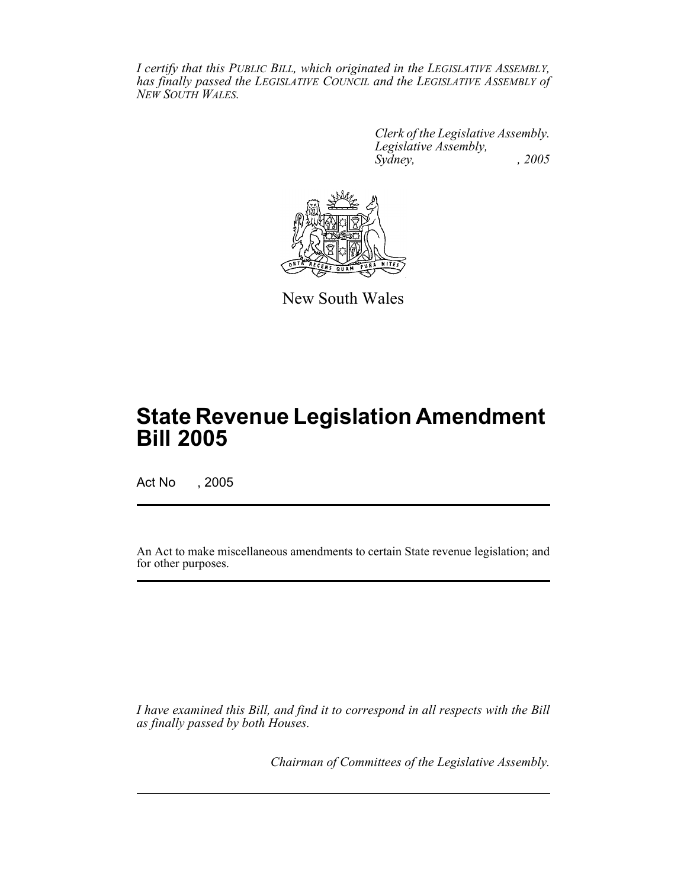*I certify that this PUBLIC BILL, which originated in the LEGISLATIVE ASSEMBLY, has finally passed the LEGISLATIVE COUNCIL and the LEGISLATIVE ASSEMBLY of NEW SOUTH WALES.*

> *Clerk of the Legislative Assembly. Legislative Assembly, Sydney, , 2005*



New South Wales

# **State Revenue Legislation Amendment Bill 2005**

Act No , 2005

An Act to make miscellaneous amendments to certain State revenue legislation; and for other purposes.

*I have examined this Bill, and find it to correspond in all respects with the Bill as finally passed by both Houses.*

*Chairman of Committees of the Legislative Assembly.*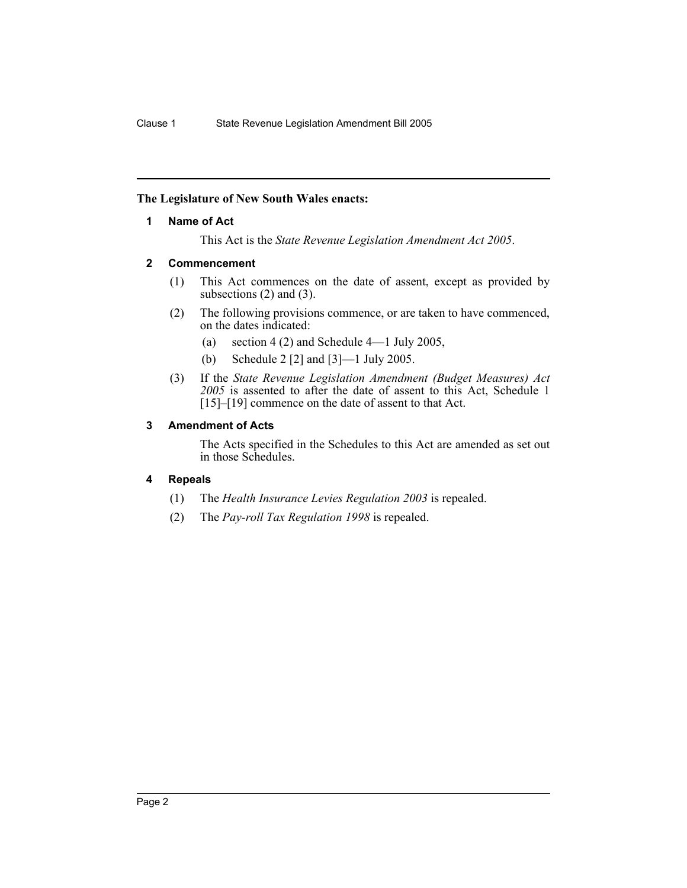# **The Legislature of New South Wales enacts:**

# **1 Name of Act**

This Act is the *State Revenue Legislation Amendment Act 2005*.

# **2 Commencement**

- (1) This Act commences on the date of assent, except as provided by subsections  $(2)$  and  $(3)$ .
- (2) The following provisions commence, or are taken to have commenced, on the dates indicated:
	- (a) section 4 (2) and Schedule 4—1 July 2005,
	- (b) Schedule 2 [2] and [3]—1 July 2005.
- (3) If the *State Revenue Legislation Amendment (Budget Measures) Act 2005* is assented to after the date of assent to this Act, Schedule 1 [15]–[19] commence on the date of assent to that Act.

# **3 Amendment of Acts**

The Acts specified in the Schedules to this Act are amended as set out in those Schedules.

# **4 Repeals**

- (1) The *Health Insurance Levies Regulation 2003* is repealed.
- (2) The *Pay-roll Tax Regulation 1998* is repealed.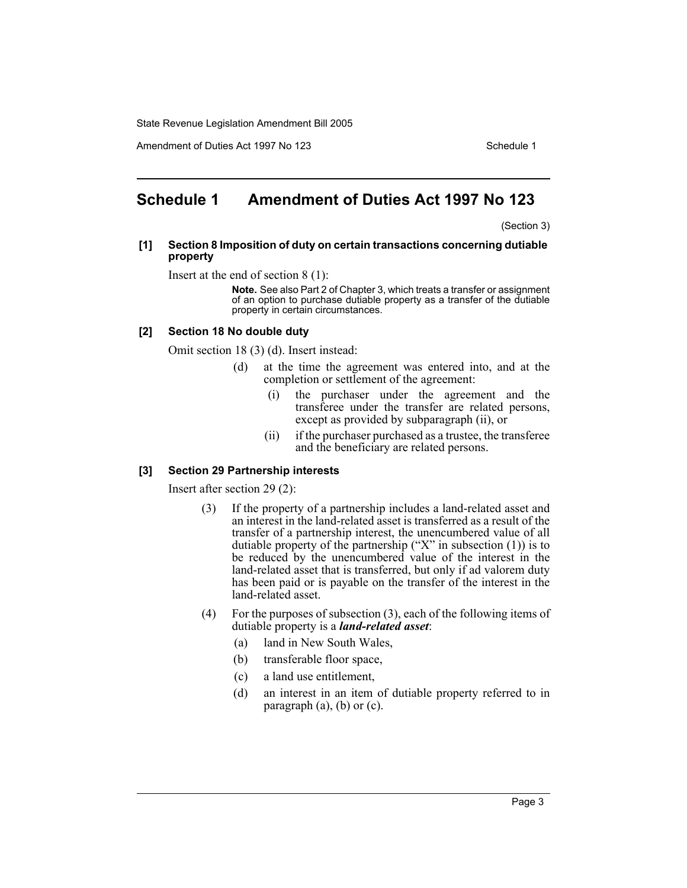Amendment of Duties Act 1997 No 123 Schedule 1

# **Schedule 1 Amendment of Duties Act 1997 No 123**

(Section 3)

#### **[1] Section 8 Imposition of duty on certain transactions concerning dutiable property**

Insert at the end of section 8 (1):

**Note.** See also Part 2 of Chapter 3, which treats a transfer or assignment of an option to purchase dutiable property as a transfer of the dutiable property in certain circumstances.

## **[2] Section 18 No double duty**

Omit section 18 (3) (d). Insert instead:

- (d) at the time the agreement was entered into, and at the completion or settlement of the agreement:
	- (i) the purchaser under the agreement and the transferee under the transfer are related persons, except as provided by subparagraph (ii), or
	- (ii) if the purchaser purchased as a trustee, the transferee and the beneficiary are related persons.

## **[3] Section 29 Partnership interests**

Insert after section 29 (2):

- (3) If the property of a partnership includes a land-related asset and an interest in the land-related asset is transferred as a result of the transfer of a partnership interest, the unencumbered value of all dutiable property of the partnership ("X" in subsection  $(1)$ ) is to be reduced by the unencumbered value of the interest in the land-related asset that is transferred, but only if ad valorem duty has been paid or is payable on the transfer of the interest in the land-related asset.
- (4) For the purposes of subsection (3), each of the following items of dutiable property is a *land-related asset*:
	- (a) land in New South Wales,
	- (b) transferable floor space,
	- (c) a land use entitlement,
	- (d) an interest in an item of dutiable property referred to in paragraph (a), (b) or (c).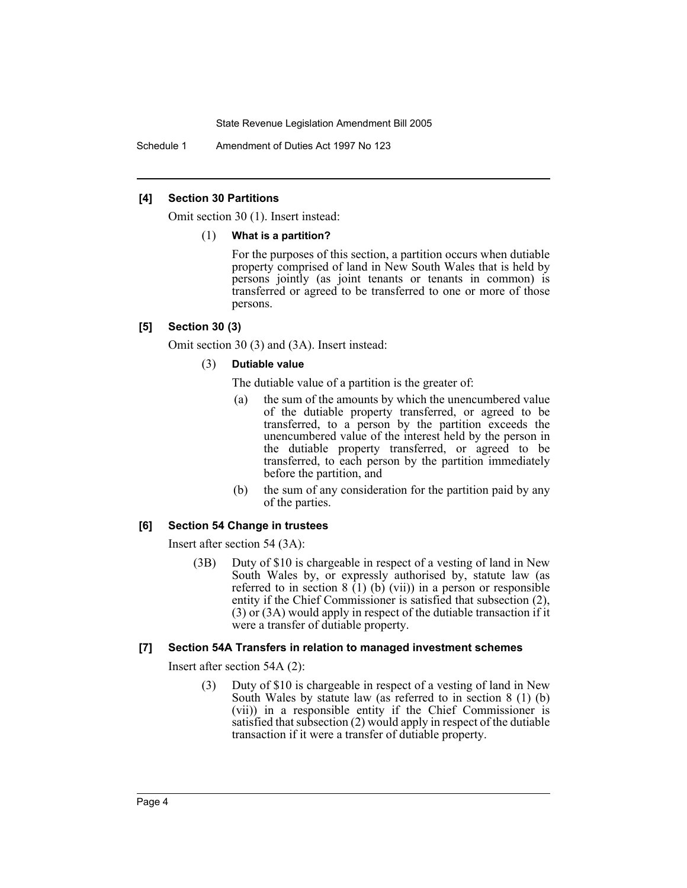Schedule 1 Amendment of Duties Act 1997 No 123

## **[4] Section 30 Partitions**

Omit section 30 (1). Insert instead:

#### (1) **What is a partition?**

For the purposes of this section, a partition occurs when dutiable property comprised of land in New South Wales that is held by persons jointly (as joint tenants or tenants in common) is transferred or agreed to be transferred to one or more of those persons.

## **[5] Section 30 (3)**

Omit section 30 (3) and (3A). Insert instead:

## (3) **Dutiable value**

The dutiable value of a partition is the greater of:

- (a) the sum of the amounts by which the unencumbered value of the dutiable property transferred, or agreed to be transferred, to a person by the partition exceeds the unencumbered value of the interest held by the person in the dutiable property transferred, or agreed to be transferred, to each person by the partition immediately before the partition, and
- (b) the sum of any consideration for the partition paid by any of the parties.

## **[6] Section 54 Change in trustees**

Insert after section 54 (3A):

(3B) Duty of \$10 is chargeable in respect of a vesting of land in New South Wales by, or expressly authorised by, statute law (as referred to in section  $8(1)(b)(vii)$  in a person or responsible entity if the Chief Commissioner is satisfied that subsection (2), (3) or (3A) would apply in respect of the dutiable transaction if it were a transfer of dutiable property.

## **[7] Section 54A Transfers in relation to managed investment schemes**

Insert after section 54A (2):

(3) Duty of \$10 is chargeable in respect of a vesting of land in New South Wales by statute law (as referred to in section 8 (1) (b) (vii)) in a responsible entity if the Chief Commissioner is satisfied that subsection (2) would apply in respect of the dutiable transaction if it were a transfer of dutiable property.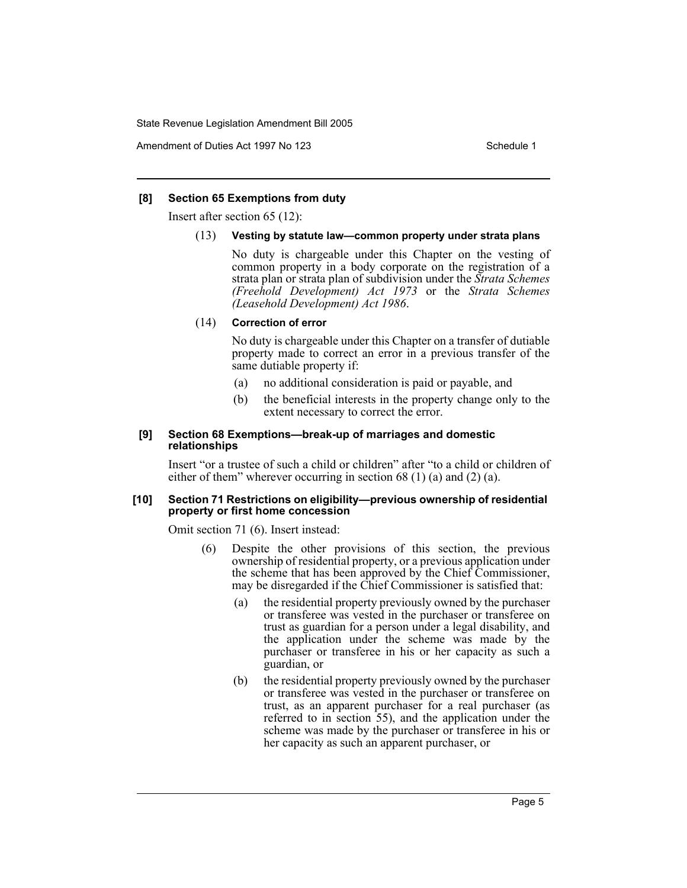Amendment of Duties Act 1997 No 123 Schedule 1

## **[8] Section 65 Exemptions from duty**

Insert after section 65 (12):

#### (13) **Vesting by statute law—common property under strata plans**

No duty is chargeable under this Chapter on the vesting of common property in a body corporate on the registration of a strata plan or strata plan of subdivision under the *Strata Schemes (Freehold Development) Act 1973* or the *Strata Schemes (Leasehold Development) Act 1986*.

#### (14) **Correction of error**

No duty is chargeable under this Chapter on a transfer of dutiable property made to correct an error in a previous transfer of the same dutiable property if:

- (a) no additional consideration is paid or payable, and
- (b) the beneficial interests in the property change only to the extent necessary to correct the error.

#### **[9] Section 68 Exemptions—break-up of marriages and domestic relationships**

Insert "or a trustee of such a child or children" after "to a child or children of either of them" wherever occurring in section 68 (1) (a) and (2) (a).

#### **[10] Section 71 Restrictions on eligibility—previous ownership of residential property or first home concession**

Omit section 71 (6). Insert instead:

- (6) Despite the other provisions of this section, the previous ownership of residential property, or a previous application under the scheme that has been approved by the Chief Commissioner, may be disregarded if the Chief Commissioner is satisfied that:
	- (a) the residential property previously owned by the purchaser or transferee was vested in the purchaser or transferee on trust as guardian for a person under a legal disability, and the application under the scheme was made by the purchaser or transferee in his or her capacity as such a guardian, or
	- (b) the residential property previously owned by the purchaser or transferee was vested in the purchaser or transferee on trust, as an apparent purchaser for a real purchaser (as referred to in section 55), and the application under the scheme was made by the purchaser or transferee in his or her capacity as such an apparent purchaser, or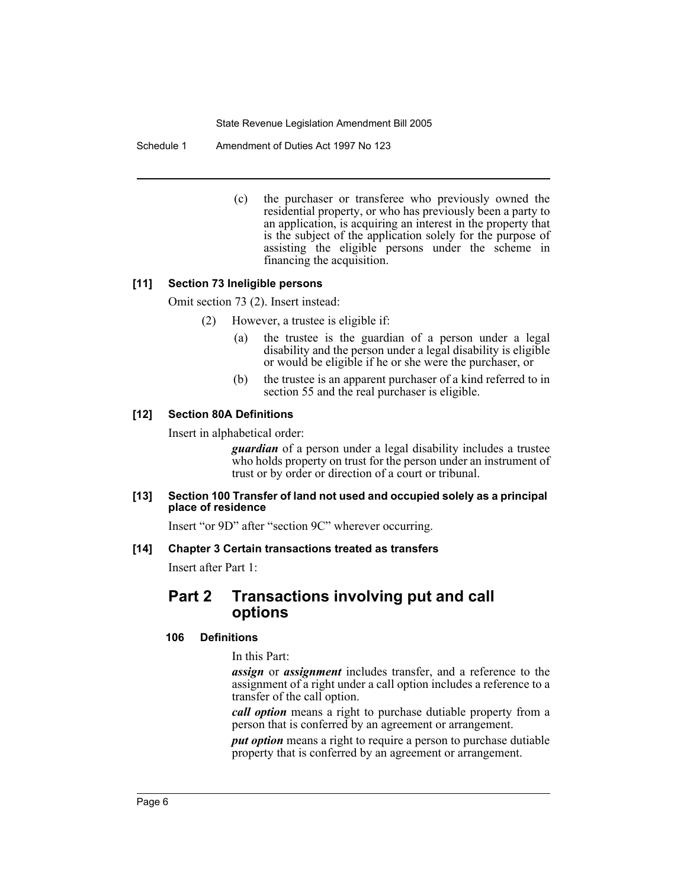Schedule 1 Amendment of Duties Act 1997 No 123

(c) the purchaser or transferee who previously owned the residential property, or who has previously been a party to an application, is acquiring an interest in the property that is the subject of the application solely for the purpose of assisting the eligible persons under the scheme in financing the acquisition.

## **[11] Section 73 Ineligible persons**

Omit section 73 (2). Insert instead:

- (2) However, a trustee is eligible if:
	- (a) the trustee is the guardian of a person under a legal disability and the person under a legal disability is eligible or would be eligible if he or she were the purchaser, or
	- (b) the trustee is an apparent purchaser of a kind referred to in section 55 and the real purchaser is eligible.

# **[12] Section 80A Definitions**

Insert in alphabetical order:

*guardian* of a person under a legal disability includes a trustee who holds property on trust for the person under an instrument of trust or by order or direction of a court or tribunal.

#### **[13] Section 100 Transfer of land not used and occupied solely as a principal place of residence**

Insert "or 9D" after "section 9C" wherever occurring.

## **[14] Chapter 3 Certain transactions treated as transfers**

Insert after Part 1:

# **Part 2 Transactions involving put and call options**

## **106 Definitions**

In this Part:

*assign* or *assignment* includes transfer, and a reference to the assignment of a right under a call option includes a reference to a transfer of the call option.

*call option* means a right to purchase dutiable property from a person that is conferred by an agreement or arrangement.

*put option* means a right to require a person to purchase dutiable property that is conferred by an agreement or arrangement.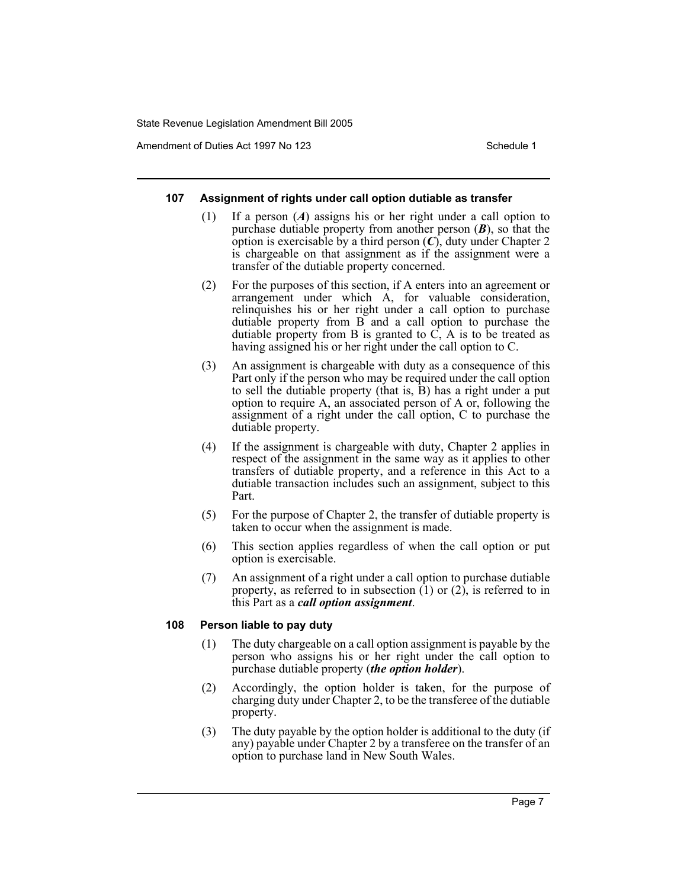Amendment of Duties Act 1997 No 123 Schedule 1

## **107 Assignment of rights under call option dutiable as transfer**

- (1) If a person (*A*) assigns his or her right under a call option to purchase dutiable property from another person (*B*), so that the option is exercisable by a third person (*C*), duty under Chapter 2 is chargeable on that assignment as if the assignment were a transfer of the dutiable property concerned.
- (2) For the purposes of this section, if A enters into an agreement or arrangement under which A, for valuable consideration, relinquishes his or her right under a call option to purchase dutiable property from B and a call option to purchase the dutiable property from B is granted to  $\overline{C}$ , A is to be treated as having assigned his or her right under the call option to C.
- (3) An assignment is chargeable with duty as a consequence of this Part only if the person who may be required under the call option to sell the dutiable property (that is, B) has a right under a put option to require A, an associated person of A or, following the assignment of a right under the call option, C to purchase the dutiable property.
- (4) If the assignment is chargeable with duty, Chapter 2 applies in respect of the assignment in the same way as it applies to other transfers of dutiable property, and a reference in this Act to a dutiable transaction includes such an assignment, subject to this Part.
- (5) For the purpose of Chapter 2, the transfer of dutiable property is taken to occur when the assignment is made.
- (6) This section applies regardless of when the call option or put option is exercisable.
- (7) An assignment of a right under a call option to purchase dutiable property, as referred to in subsection  $(1)$  or  $(2)$ , is referred to in this Part as a *call option assignment*.

## **108 Person liable to pay duty**

- (1) The duty chargeable on a call option assignment is payable by the person who assigns his or her right under the call option to purchase dutiable property (*the option holder*).
- (2) Accordingly, the option holder is taken, for the purpose of charging duty under Chapter 2, to be the transferee of the dutiable property.
- (3) The duty payable by the option holder is additional to the duty (if any) payable under Chapter 2 by a transferee on the transfer of an option to purchase land in New South Wales.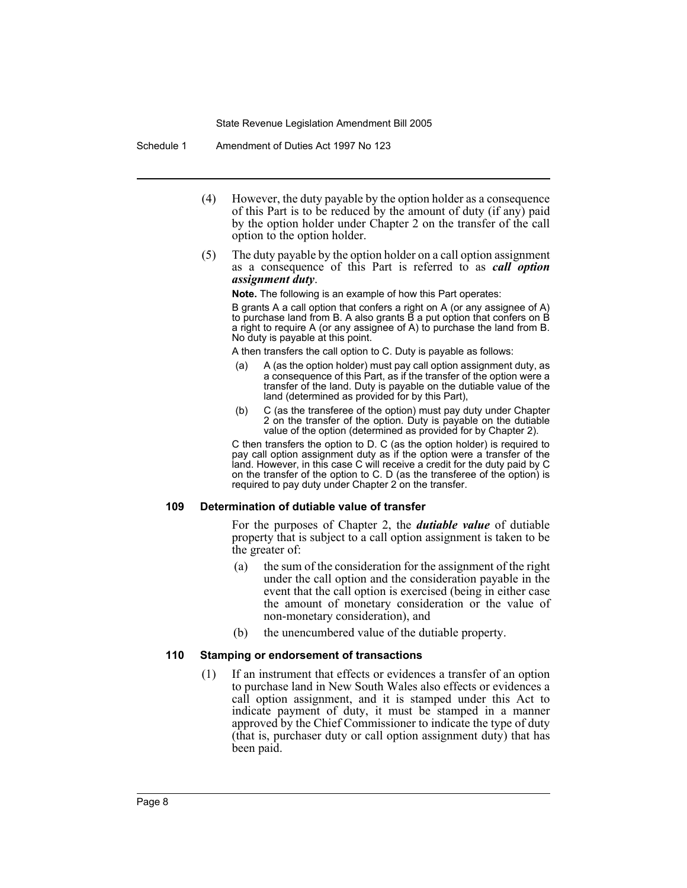Schedule 1 Amendment of Duties Act 1997 No 123

- (4) However, the duty payable by the option holder as a consequence of this Part is to be reduced by the amount of duty (if any) paid by the option holder under Chapter 2 on the transfer of the call option to the option holder.
- (5) The duty payable by the option holder on a call option assignment as a consequence of this Part is referred to as *call option assignment duty*.

**Note.** The following is an example of how this Part operates:

B grants A a call option that confers a right on A (or any assignee of A) to purchase land from B. A also grants B a put option that confers on B a right to require A (or any assignee of A) to purchase the land from B. No duty is payable at this point.

A then transfers the call option to C. Duty is payable as follows:

- A (as the option holder) must pay call option assignment duty, as a consequence of this Part, as if the transfer of the option were a transfer of the land. Duty is payable on the dutiable value of the land (determined as provided for by this Part),
- (b) C (as the transferee of the option) must pay duty under Chapter 2 on the transfer of the option. Duty is payable on the dutiable value of the option (determined as provided for by Chapter 2).

C then transfers the option to D. C (as the option holder) is required to pay call option assignment duty as if the option were a transfer of the land. However, in this case C will receive a credit for the duty paid by C on the transfer of the option to C. D (as the transferee of the option) is required to pay duty under Chapter 2 on the transfer.

#### **109 Determination of dutiable value of transfer**

For the purposes of Chapter 2, the *dutiable value* of dutiable property that is subject to a call option assignment is taken to be the greater of:

- (a) the sum of the consideration for the assignment of the right under the call option and the consideration payable in the event that the call option is exercised (being in either case the amount of monetary consideration or the value of non-monetary consideration), and
- (b) the unencumbered value of the dutiable property.

## **110 Stamping or endorsement of transactions**

(1) If an instrument that effects or evidences a transfer of an option to purchase land in New South Wales also effects or evidences a call option assignment, and it is stamped under this Act to indicate payment of duty, it must be stamped in a manner approved by the Chief Commissioner to indicate the type of duty (that is, purchaser duty or call option assignment duty) that has been paid.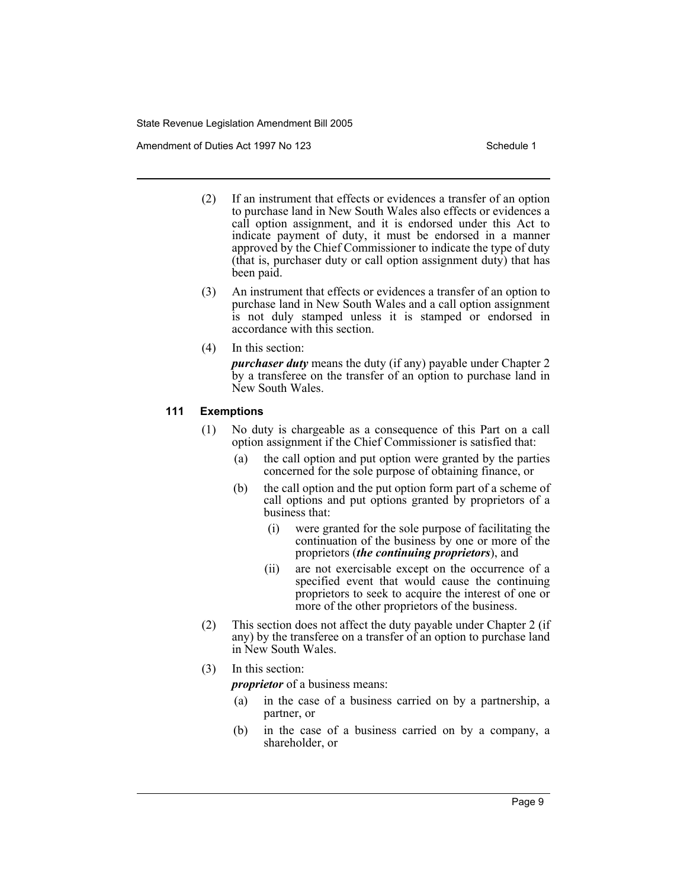Amendment of Duties Act 1997 No 123 Schedule 1

- (2) If an instrument that effects or evidences a transfer of an option to purchase land in New South Wales also effects or evidences a call option assignment, and it is endorsed under this Act to indicate payment of duty, it must be endorsed in a manner approved by the Chief Commissioner to indicate the type of duty (that is, purchaser duty or call option assignment duty) that has been paid.
- (3) An instrument that effects or evidences a transfer of an option to purchase land in New South Wales and a call option assignment is not duly stamped unless it is stamped or endorsed in accordance with this section.
- (4) In this section:

*purchaser duty* means the duty (if any) payable under Chapter 2 by a transferee on the transfer of an option to purchase land in New South Wales.

## **111 Exemptions**

- (1) No duty is chargeable as a consequence of this Part on a call option assignment if the Chief Commissioner is satisfied that:
	- (a) the call option and put option were granted by the parties concerned for the sole purpose of obtaining finance, or
	- (b) the call option and the put option form part of a scheme of call options and put options granted by proprietors of a business that:
		- (i) were granted for the sole purpose of facilitating the continuation of the business by one or more of the proprietors (*the continuing proprietors*), and
		- (ii) are not exercisable except on the occurrence of a specified event that would cause the continuing proprietors to seek to acquire the interest of one or more of the other proprietors of the business.
- (2) This section does not affect the duty payable under Chapter 2 (if any) by the transferee on a transfer of an option to purchase land in New South Wales.

## (3) In this section:

*proprietor* of a business means:

- (a) in the case of a business carried on by a partnership, a partner, or
- (b) in the case of a business carried on by a company, a shareholder, or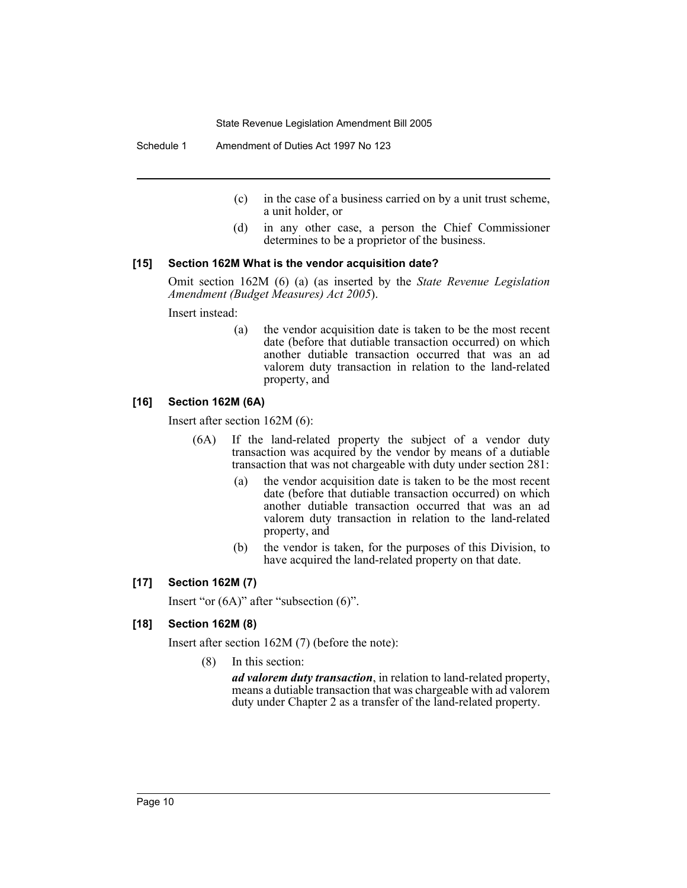Schedule 1 Amendment of Duties Act 1997 No 123

- (c) in the case of a business carried on by a unit trust scheme, a unit holder, or
- (d) in any other case, a person the Chief Commissioner determines to be a proprietor of the business.

## **[15] Section 162M What is the vendor acquisition date?**

Omit section 162M (6) (a) (as inserted by the *State Revenue Legislation Amendment (Budget Measures) Act 2005*).

Insert instead:

(a) the vendor acquisition date is taken to be the most recent date (before that dutiable transaction occurred) on which another dutiable transaction occurred that was an ad valorem duty transaction in relation to the land-related property, and

## **[16] Section 162M (6A)**

Insert after section 162M (6):

- (6A) If the land-related property the subject of a vendor duty transaction was acquired by the vendor by means of a dutiable transaction that was not chargeable with duty under section 281:
	- (a) the vendor acquisition date is taken to be the most recent date (before that dutiable transaction occurred) on which another dutiable transaction occurred that was an ad valorem duty transaction in relation to the land-related property, and
	- (b) the vendor is taken, for the purposes of this Division, to have acquired the land-related property on that date.

## **[17] Section 162M (7)**

Insert "or (6A)" after "subsection (6)".

## **[18] Section 162M (8)**

Insert after section 162M (7) (before the note):

(8) In this section:

*ad valorem duty transaction*, in relation to land-related property, means a dutiable transaction that was chargeable with ad valorem duty under Chapter 2 as a transfer of the land-related property.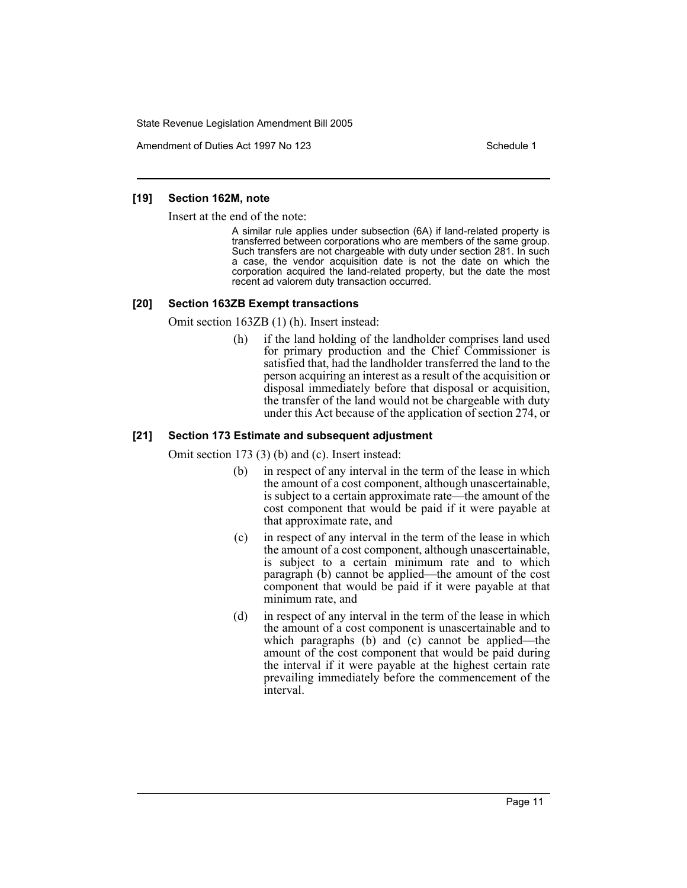Amendment of Duties Act 1997 No 123 Schedule 1

#### **[19] Section 162M, note**

Insert at the end of the note:

A similar rule applies under subsection (6A) if land-related property is transferred between corporations who are members of the same group. Such transfers are not chargeable with duty under section 281. In such a case, the vendor acquisition date is not the date on which the corporation acquired the land-related property, but the date the most recent ad valorem duty transaction occurred.

### **[20] Section 163ZB Exempt transactions**

Omit section 163ZB (1) (h). Insert instead:

(h) if the land holding of the landholder comprises land used for primary production and the Chief Commissioner is satisfied that, had the landholder transferred the land to the person acquiring an interest as a result of the acquisition or disposal immediately before that disposal or acquisition, the transfer of the land would not be chargeable with duty under this Act because of the application of section 274, or

## **[21] Section 173 Estimate and subsequent adjustment**

Omit section 173 (3) (b) and (c). Insert instead:

- (b) in respect of any interval in the term of the lease in which the amount of a cost component, although unascertainable, is subject to a certain approximate rate—the amount of the cost component that would be paid if it were payable at that approximate rate, and
- (c) in respect of any interval in the term of the lease in which the amount of a cost component, although unascertainable, is subject to a certain minimum rate and to which paragraph (b) cannot be applied—the amount of the cost component that would be paid if it were payable at that minimum rate, and
- (d) in respect of any interval in the term of the lease in which the amount of a cost component is unascertainable and to which paragraphs (b) and (c) cannot be applied—the amount of the cost component that would be paid during the interval if it were payable at the highest certain rate prevailing immediately before the commencement of the interval.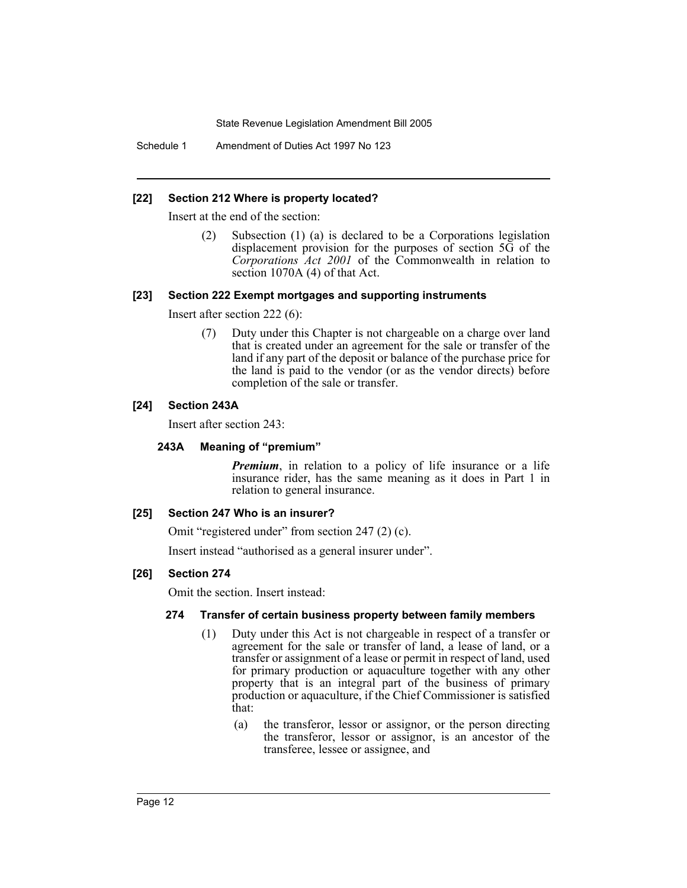Schedule 1 Amendment of Duties Act 1997 No 123

## **[22] Section 212 Where is property located?**

Insert at the end of the section:

(2) Subsection (1) (a) is declared to be a Corporations legislation displacement provision for the purposes of section 5G of the *Corporations Act 2001* of the Commonwealth in relation to section 1070A (4) of that Act.

## **[23] Section 222 Exempt mortgages and supporting instruments**

Insert after section 222 (6):

(7) Duty under this Chapter is not chargeable on a charge over land that is created under an agreement for the sale or transfer of the land if any part of the deposit or balance of the purchase price for the land is paid to the vendor (or as the vendor directs) before completion of the sale or transfer.

# **[24] Section 243A**

Insert after section 243:

## **243A Meaning of "premium"**

*Premium*, in relation to a policy of life insurance or a life insurance rider, has the same meaning as it does in Part 1 in relation to general insurance.

## **[25] Section 247 Who is an insurer?**

Omit "registered under" from section 247 (2) (c).

Insert instead "authorised as a general insurer under".

## **[26] Section 274**

Omit the section. Insert instead:

## **274 Transfer of certain business property between family members**

- (1) Duty under this Act is not chargeable in respect of a transfer or agreement for the sale or transfer of land, a lease of land, or a transfer or assignment of a lease or permit in respect of land, used for primary production or aquaculture together with any other property that is an integral part of the business of primary production or aquaculture, if the Chief Commissioner is satisfied that:
	- (a) the transferor, lessor or assignor, or the person directing the transferor, lessor or assignor, is an ancestor of the transferee, lessee or assignee, and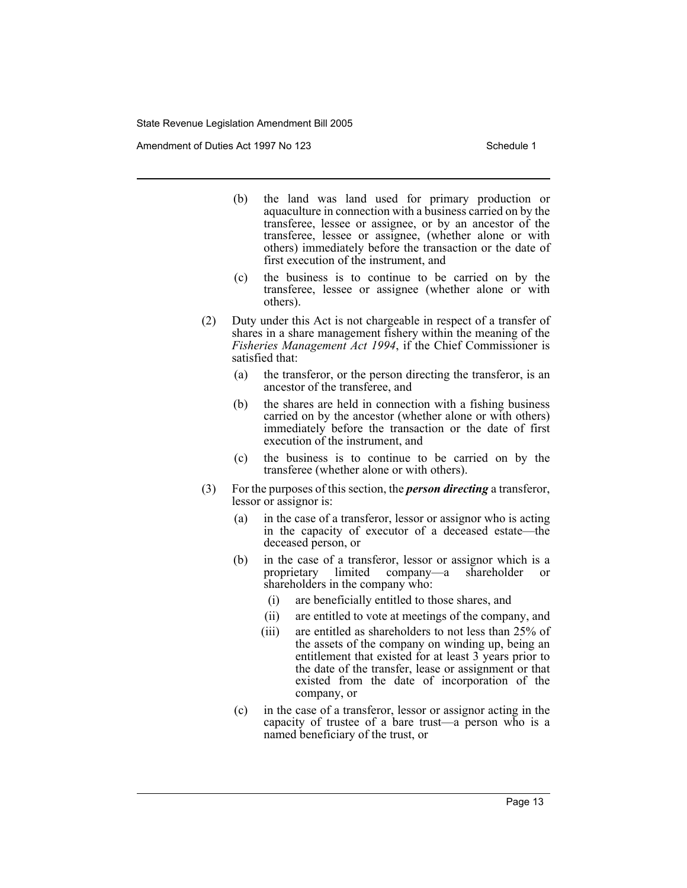Amendment of Duties Act 1997 No 123 Schedule 1

- (b) the land was land used for primary production or aquaculture in connection with a business carried on by the transferee, lessee or assignee, or by an ancestor of the transferee, lessee or assignee, (whether alone or with others) immediately before the transaction or the date of first execution of the instrument, and
- (c) the business is to continue to be carried on by the transferee, lessee or assignee (whether alone or with others).
- (2) Duty under this Act is not chargeable in respect of a transfer of shares in a share management fishery within the meaning of the *Fisheries Management Act 1994*, if the Chief Commissioner is satisfied that:
	- (a) the transferor, or the person directing the transferor, is an ancestor of the transferee, and
	- (b) the shares are held in connection with a fishing business carried on by the ancestor (whether alone or with others) immediately before the transaction or the date of first execution of the instrument, and
	- (c) the business is to continue to be carried on by the transferee (whether alone or with others).
- (3) For the purposes of this section, the *person directing* a transferor, lessor or assignor is:
	- (a) in the case of a transferor, lessor or assignor who is acting in the capacity of executor of a deceased estate—the deceased person, or
	- (b) in the case of a transferor, lessor or assignor which is a proprietary limited company—a shareholder or proprietary limited company—a shareholder or shareholders in the company who:
		- (i) are beneficially entitled to those shares, and
		- (ii) are entitled to vote at meetings of the company, and
		- (iii) are entitled as shareholders to not less than 25% of the assets of the company on winding up, being an entitlement that existed for at least 3 years prior to the date of the transfer, lease or assignment or that existed from the date of incorporation of the company, or
	- (c) in the case of a transferor, lessor or assignor acting in the capacity of trustee of a bare trust—a person who is a named beneficiary of the trust, or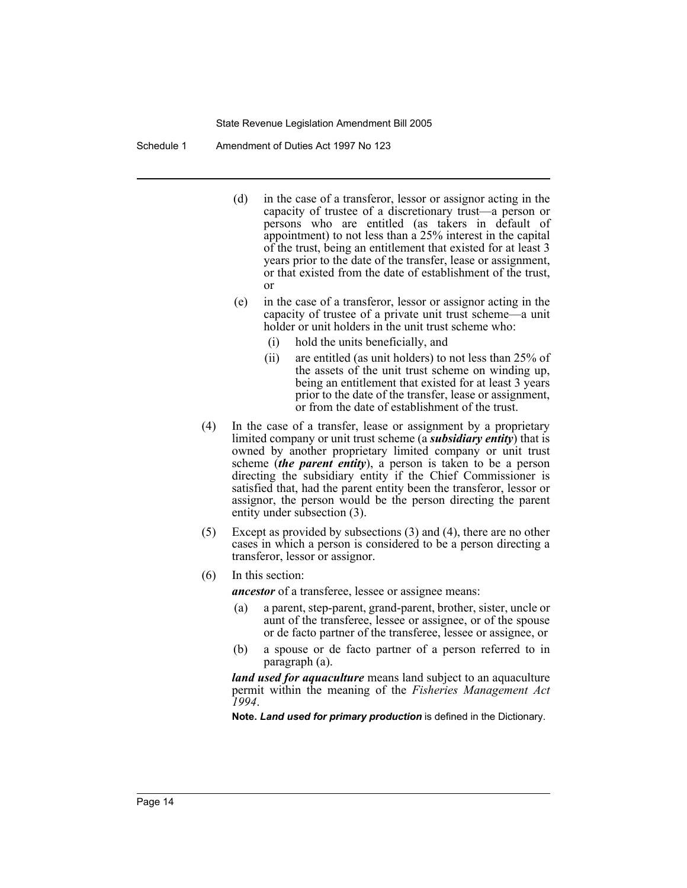Schedule 1 Amendment of Duties Act 1997 No 123

- (d) in the case of a transferor, lessor or assignor acting in the capacity of trustee of a discretionary trust—a person or persons who are entitled (as takers in default of appointment) to not less than a 25% interest in the capital of the trust, being an entitlement that existed for at least 3 years prior to the date of the transfer, lease or assignment, or that existed from the date of establishment of the trust, or
- (e) in the case of a transferor, lessor or assignor acting in the capacity of trustee of a private unit trust scheme—a unit holder or unit holders in the unit trust scheme who:
	- (i) hold the units beneficially, and
	- (ii) are entitled (as unit holders) to not less than 25% of the assets of the unit trust scheme on winding up, being an entitlement that existed for at least 3 years prior to the date of the transfer, lease or assignment, or from the date of establishment of the trust.
- (4) In the case of a transfer, lease or assignment by a proprietary limited company or unit trust scheme (a *subsidiary entity*) that is owned by another proprietary limited company or unit trust scheme (*the parent entity*), a person is taken to be a person directing the subsidiary entity if the Chief Commissioner is satisfied that, had the parent entity been the transferor, lessor or assignor, the person would be the person directing the parent entity under subsection (3).
- (5) Except as provided by subsections (3) and (4), there are no other cases in which a person is considered to be a person directing a transferor, lessor or assignor.
- (6) In this section:

*ancestor* of a transferee, lessee or assignee means:

- (a) a parent, step-parent, grand-parent, brother, sister, uncle or aunt of the transferee, lessee or assignee, or of the spouse or de facto partner of the transferee, lessee or assignee, or
- (b) a spouse or de facto partner of a person referred to in paragraph (a).

*land used for aquaculture* means land subject to an aquaculture permit within the meaning of the *Fisheries Management Act 1994*.

**Note.** *Land used for primary production* is defined in the Dictionary.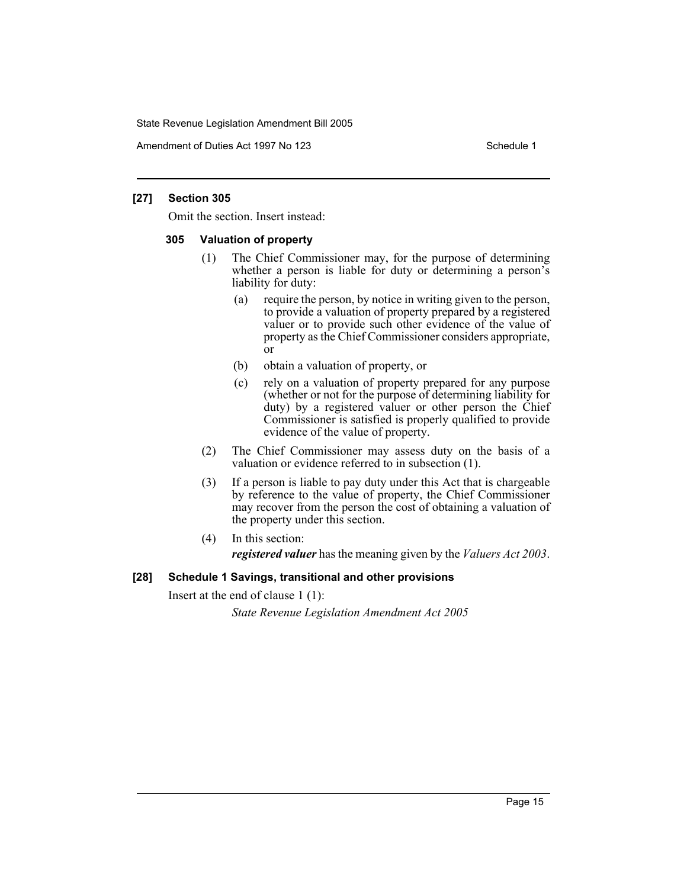Amendment of Duties Act 1997 No 123 Schedule 1

## **[27] Section 305**

Omit the section. Insert instead:

# **305 Valuation of property**

- (1) The Chief Commissioner may, for the purpose of determining whether a person is liable for duty or determining a person's liability for duty:
	- (a) require the person, by notice in writing given to the person, to provide a valuation of property prepared by a registered valuer or to provide such other evidence of the value of property as the Chief Commissioner considers appropriate, or
	- (b) obtain a valuation of property, or
	- (c) rely on a valuation of property prepared for any purpose (whether or not for the purpose of determining liability for duty) by a registered valuer or other person the Chief Commissioner is satisfied is properly qualified to provide evidence of the value of property.
- (2) The Chief Commissioner may assess duty on the basis of a valuation or evidence referred to in subsection (1).
- (3) If a person is liable to pay duty under this Act that is chargeable by reference to the value of property, the Chief Commissioner may recover from the person the cost of obtaining a valuation of the property under this section.
- (4) In this section:

*registered valuer* has the meaning given by the *Valuers Act 2003*.

# **[28] Schedule 1 Savings, transitional and other provisions**

Insert at the end of clause 1 (1):

*State Revenue Legislation Amendment Act 2005*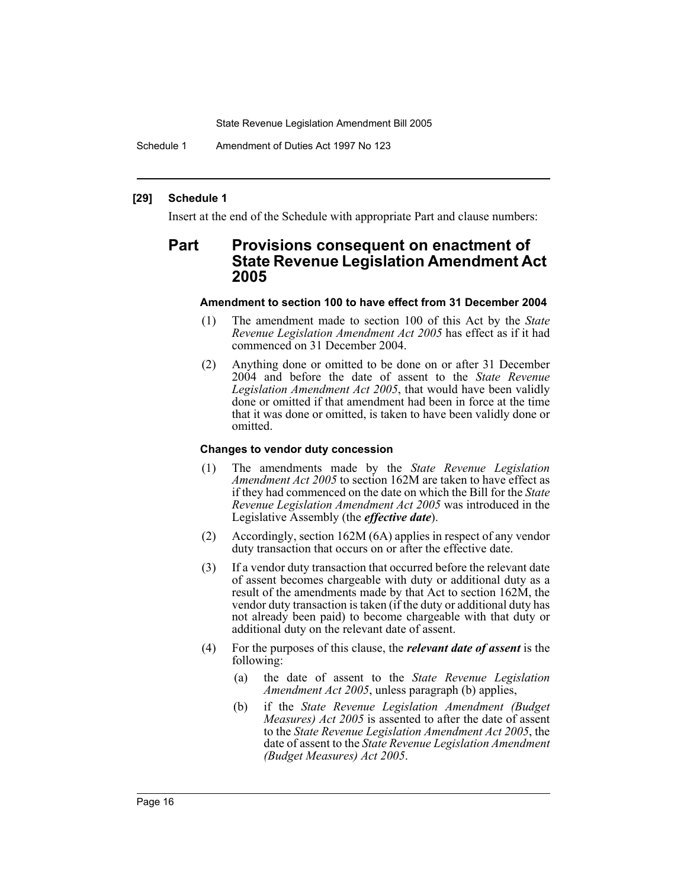Schedule 1 Amendment of Duties Act 1997 No 123

#### **[29] Schedule 1**

Insert at the end of the Schedule with appropriate Part and clause numbers:

# **Part Provisions consequent on enactment of State Revenue Legislation Amendment Act 2005**

#### **Amendment to section 100 to have effect from 31 December 2004**

- (1) The amendment made to section 100 of this Act by the *State Revenue Legislation Amendment Act 2005* has effect as if it had commenced on 31 December 2004.
- (2) Anything done or omitted to be done on or after 31 December 2004 and before the date of assent to the *State Revenue Legislation Amendment Act 2005*, that would have been validly done or omitted if that amendment had been in force at the time that it was done or omitted, is taken to have been validly done or omitted.

#### **Changes to vendor duty concession**

- (1) The amendments made by the *State Revenue Legislation Amendment Act 2005* to section 162M are taken to have effect as if they had commenced on the date on which the Bill for the *State Revenue Legislation Amendment Act 2005* was introduced in the Legislative Assembly (the *effective date*).
- (2) Accordingly, section 162M (6A) applies in respect of any vendor duty transaction that occurs on or after the effective date.
- (3) If a vendor duty transaction that occurred before the relevant date of assent becomes chargeable with duty or additional duty as a result of the amendments made by that Act to section 162M, the vendor duty transaction is taken (if the duty or additional duty has not already been paid) to become chargeable with that duty or additional duty on the relevant date of assent.
- (4) For the purposes of this clause, the *relevant date of assent* is the following:
	- (a) the date of assent to the *State Revenue Legislation Amendment Act 2005*, unless paragraph (b) applies,
	- (b) if the *State Revenue Legislation Amendment (Budget Measures) Act 2005* is assented to after the date of assent to the *State Revenue Legislation Amendment Act 2005*, the date of assent to the *State Revenue Legislation Amendment (Budget Measures) Act 2005*.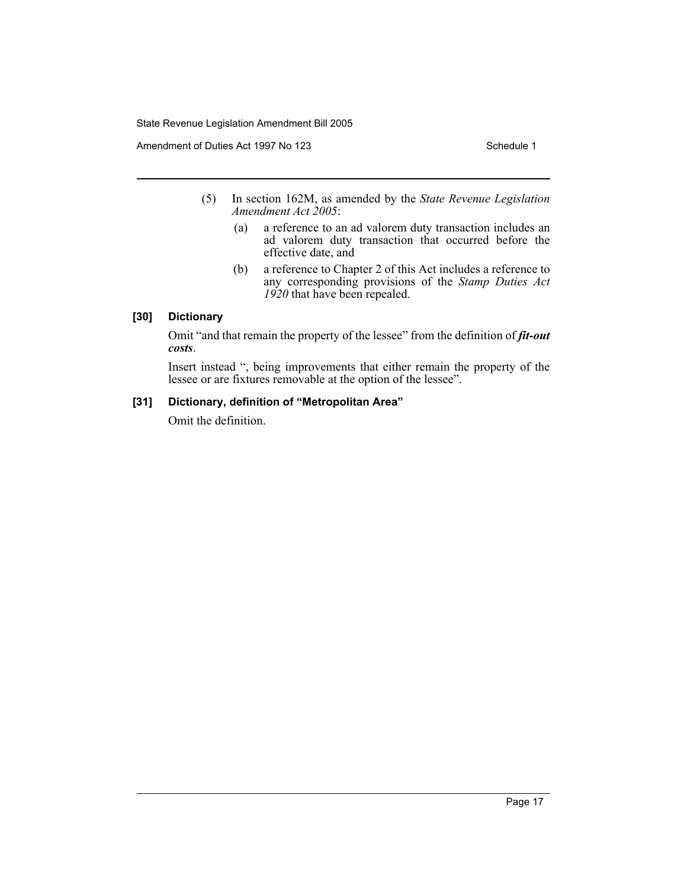Amendment of Duties Act 1997 No 123 Schedule 1

- (5) In section 162M, as amended by the *State Revenue Legislation Amendment Act 2005*:
	- (a) a reference to an ad valorem duty transaction includes an ad valorem duty transaction that occurred before the effective date, and
	- (b) a reference to Chapter 2 of this Act includes a reference to any corresponding provisions of the *Stamp Duties Act 1920* that have been repealed.

# **[30] Dictionary**

Omit "and that remain the property of the lessee" from the definition of *fit-out costs*.

Insert instead ", being improvements that either remain the property of the lessee or are fixtures removable at the option of the lessee".

# **[31] Dictionary, definition of "Metropolitan Area"**

Omit the definition.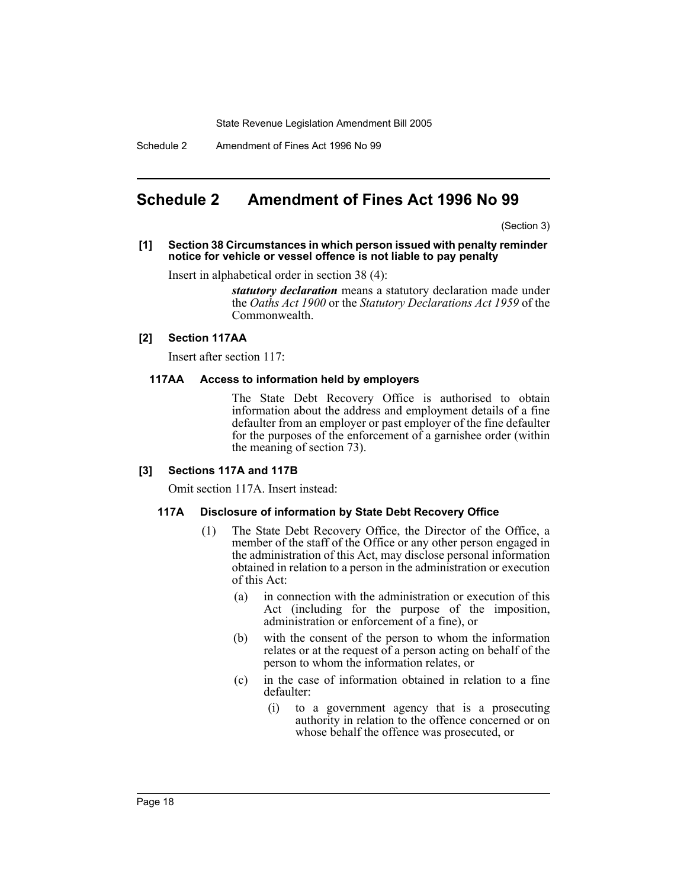Schedule 2 Amendment of Fines Act 1996 No 99

# **Schedule 2 Amendment of Fines Act 1996 No 99**

(Section 3)

### **[1] Section 38 Circumstances in which person issued with penalty reminder notice for vehicle or vessel offence is not liable to pay penalty**

Insert in alphabetical order in section 38 (4):

*statutory declaration* means a statutory declaration made under the *Oaths Act 1900* or the *Statutory Declarations Act 1959* of the Commonwealth.

## **[2] Section 117AA**

Insert after section 117:

## **117AA Access to information held by employers**

The State Debt Recovery Office is authorised to obtain information about the address and employment details of a fine defaulter from an employer or past employer of the fine defaulter for the purposes of the enforcement of a garnishee order (within the meaning of section 73).

## **[3] Sections 117A and 117B**

Omit section 117A. Insert instead:

## **117A Disclosure of information by State Debt Recovery Office**

- (1) The State Debt Recovery Office, the Director of the Office, a member of the staff of the Office or any other person engaged in the administration of this Act, may disclose personal information obtained in relation to a person in the administration or execution of this Act:
	- (a) in connection with the administration or execution of this Act (including for the purpose of the imposition, administration or enforcement of a fine), or
	- (b) with the consent of the person to whom the information relates or at the request of a person acting on behalf of the person to whom the information relates, or
	- (c) in the case of information obtained in relation to a fine defaulter:
		- (i) to a government agency that is a prosecuting authority in relation to the offence concerned or on whose behalf the offence was prosecuted, or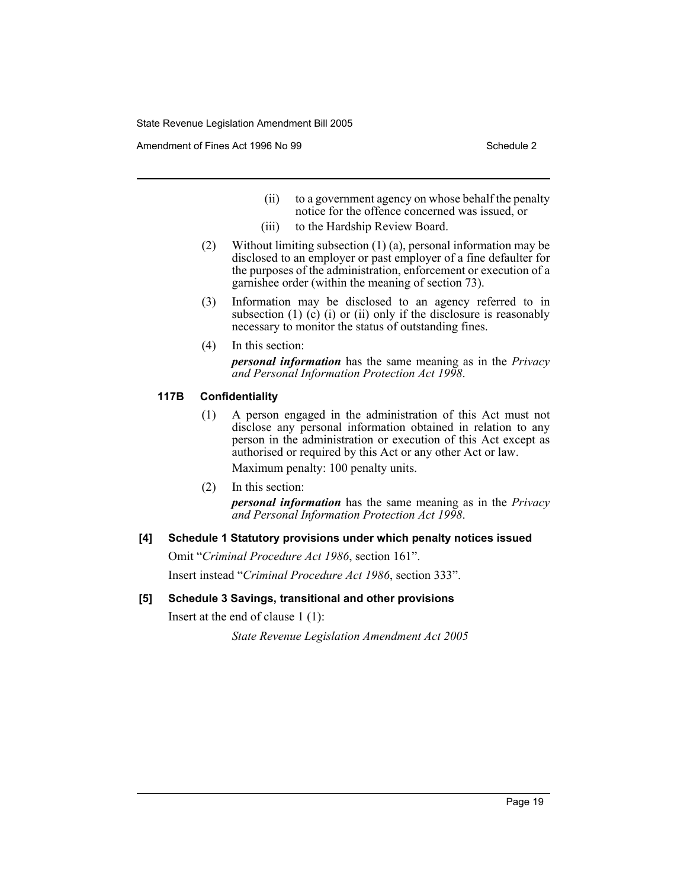Amendment of Fines Act 1996 No 99 Schedule 2

- (ii) to a government agency on whose behalf the penalty notice for the offence concerned was issued, or
- (iii) to the Hardship Review Board.
- (2) Without limiting subsection (1) (a), personal information may be disclosed to an employer or past employer of a fine defaulter for the purposes of the administration, enforcement or execution of a garnishee order (within the meaning of section 73).
- (3) Information may be disclosed to an agency referred to in subsection  $(1)$   $(c)$   $(i)$  or  $(ii)$  only if the disclosure is reasonably necessary to monitor the status of outstanding fines.
- (4) In this section: *personal information* has the same meaning as in the *Privacy and Personal Information Protection Act 1998*.

# **117B Confidentiality**

- (1) A person engaged in the administration of this Act must not disclose any personal information obtained in relation to any person in the administration or execution of this Act except as authorised or required by this Act or any other Act or law. Maximum penalty: 100 penalty units.
- (2) In this section: *personal information* has the same meaning as in the *Privacy and Personal Information Protection Act 1998*.

# **[4] Schedule 1 Statutory provisions under which penalty notices issued**

Omit "*Criminal Procedure Act 1986*, section 161". Insert instead "*Criminal Procedure Act 1986*, section 333".

# **[5] Schedule 3 Savings, transitional and other provisions**

Insert at the end of clause 1 (1):

*State Revenue Legislation Amendment Act 2005*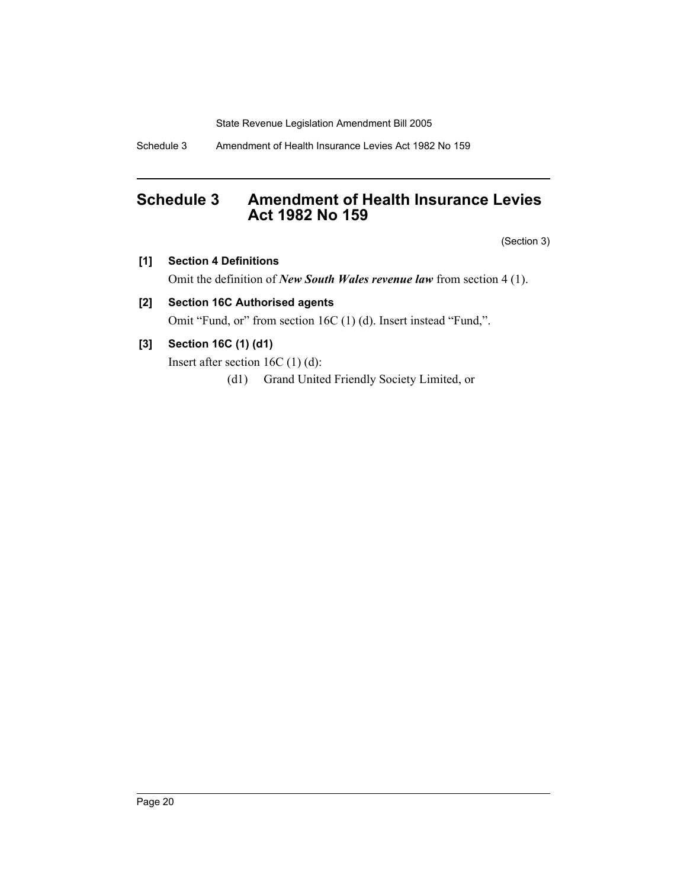Schedule 3 Amendment of Health Insurance Levies Act 1982 No 159

# **Schedule 3 Amendment of Health Insurance Levies Act 1982 No 159**

(Section 3)

# **[1] Section 4 Definitions**

Omit the definition of *New South Wales revenue law* from section 4 (1).

# **[2] Section 16C Authorised agents**

Omit "Fund, or" from section 16C (1) (d). Insert instead "Fund,".

# **[3] Section 16C (1) (d1)**

Insert after section 16C (1) (d):

(d1) Grand United Friendly Society Limited, or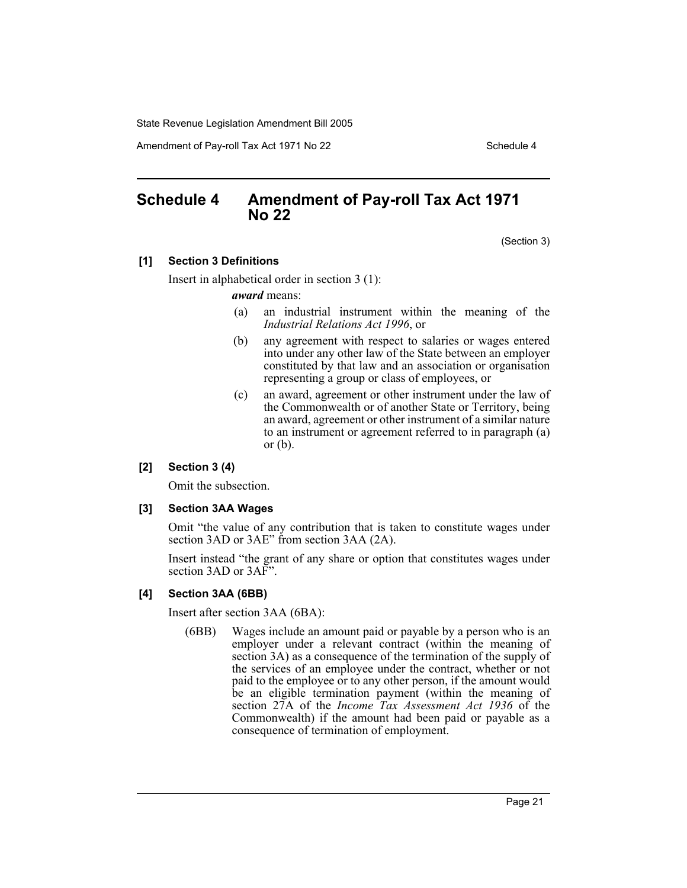Amendment of Pay-roll Tax Act 1971 No 22 Schedule 4

# **Schedule 4 Amendment of Pay-roll Tax Act 1971 No 22**

(Section 3)

# **[1] Section 3 Definitions**

Insert in alphabetical order in section 3 (1):

#### *award* means:

- (a) an industrial instrument within the meaning of the *Industrial Relations Act 1996*, or
- (b) any agreement with respect to salaries or wages entered into under any other law of the State between an employer constituted by that law and an association or organisation representing a group or class of employees, or
- (c) an award, agreement or other instrument under the law of the Commonwealth or of another State or Territory, being an award, agreement or other instrument of a similar nature to an instrument or agreement referred to in paragraph (a) or  $(b)$ .

#### **[2] Section 3 (4)**

Omit the subsection.

#### **[3] Section 3AA Wages**

Omit "the value of any contribution that is taken to constitute wages under section 3AD or 3AE" from section 3AA (2A).

Insert instead "the grant of any share or option that constitutes wages under section 3AD or 3AF".

#### **[4] Section 3AA (6BB)**

Insert after section 3AA (6BA):

(6BB) Wages include an amount paid or payable by a person who is an employer under a relevant contract (within the meaning of section 3A) as a consequence of the termination of the supply of the services of an employee under the contract, whether or not paid to the employee or to any other person, if the amount would be an eligible termination payment (within the meaning of section 27A of the *Income Tax Assessment Act 1936* of the Commonwealth) if the amount had been paid or payable as a consequence of termination of employment.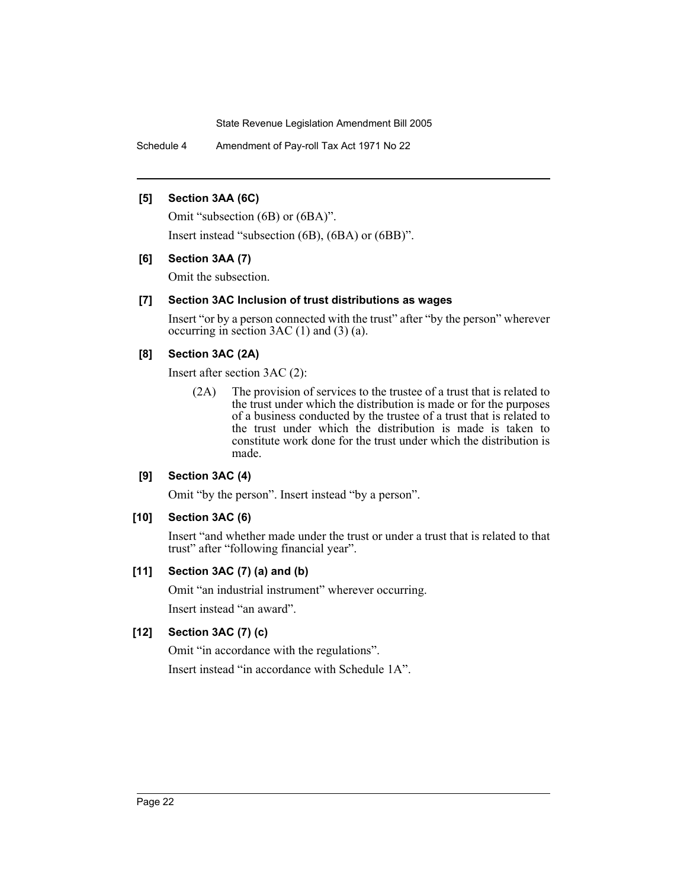Schedule 4 Amendment of Pay-roll Tax Act 1971 No 22

## **[5] Section 3AA (6C)**

Omit "subsection (6B) or (6BA)".

Insert instead "subsection (6B), (6BA) or (6BB)".

# **[6] Section 3AA (7)**

Omit the subsection.

# **[7] Section 3AC Inclusion of trust distributions as wages**

Insert "or by a person connected with the trust" after "by the person" wherever occurring in section  $3AC(1)$  and  $(3)(a)$ .

# **[8] Section 3AC (2A)**

Insert after section 3AC (2):

(2A) The provision of services to the trustee of a trust that is related to the trust under which the distribution is made or for the purposes of a business conducted by the trustee of a trust that is related to the trust under which the distribution is made is taken to constitute work done for the trust under which the distribution is made.

# **[9] Section 3AC (4)**

Omit "by the person". Insert instead "by a person".

# **[10] Section 3AC (6)**

Insert "and whether made under the trust or under a trust that is related to that trust" after "following financial year".

# **[11] Section 3AC (7) (a) and (b)**

Omit "an industrial instrument" wherever occurring. Insert instead "an award".

# **[12] Section 3AC (7) (c)**

Omit "in accordance with the regulations".

Insert instead "in accordance with Schedule 1A".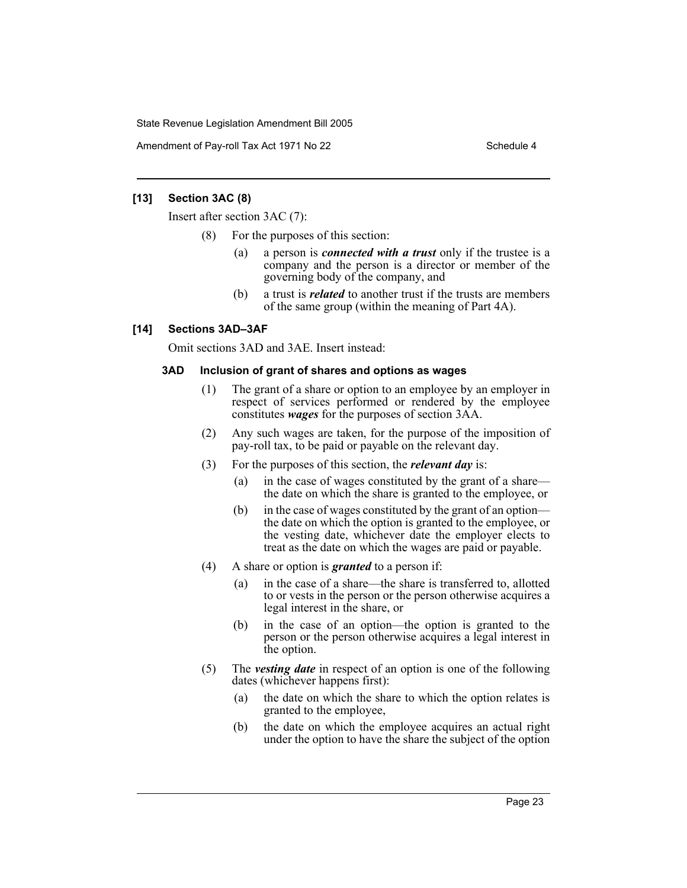Amendment of Pay-roll Tax Act 1971 No 22 Schedule 4

# **[13] Section 3AC (8)**

Insert after section 3AC (7):

- (8) For the purposes of this section:
	- (a) a person is *connected with a trust* only if the trustee is a company and the person is a director or member of the governing body of the company, and
	- (b) a trust is *related* to another trust if the trusts are members of the same group (within the meaning of Part 4A).

# **[14] Sections 3AD–3AF**

Omit sections 3AD and 3AE. Insert instead:

# **3AD Inclusion of grant of shares and options as wages**

- (1) The grant of a share or option to an employee by an employer in respect of services performed or rendered by the employee constitutes *wages* for the purposes of section 3AA.
- (2) Any such wages are taken, for the purpose of the imposition of pay-roll tax, to be paid or payable on the relevant day.
- (3) For the purposes of this section, the *relevant day* is:
	- (a) in the case of wages constituted by the grant of a share the date on which the share is granted to the employee, or
	- (b) in the case of wages constituted by the grant of an option the date on which the option is granted to the employee, or the vesting date, whichever date the employer elects to treat as the date on which the wages are paid or payable.
- (4) A share or option is *granted* to a person if:
	- (a) in the case of a share—the share is transferred to, allotted to or vests in the person or the person otherwise acquires a legal interest in the share, or
	- (b) in the case of an option—the option is granted to the person or the person otherwise acquires a legal interest in the option.
- (5) The *vesting date* in respect of an option is one of the following dates (whichever happens first):
	- (a) the date on which the share to which the option relates is granted to the employee,
	- (b) the date on which the employee acquires an actual right under the option to have the share the subject of the option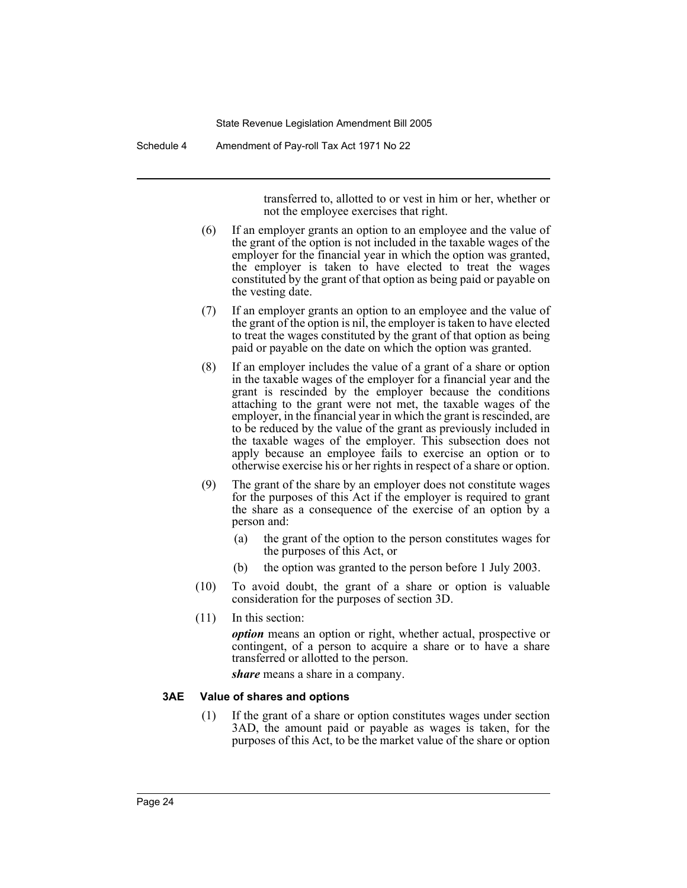Schedule 4 Amendment of Pay-roll Tax Act 1971 No 22

transferred to, allotted to or vest in him or her, whether or not the employee exercises that right.

- (6) If an employer grants an option to an employee and the value of the grant of the option is not included in the taxable wages of the employer for the financial year in which the option was granted, the employer is taken to have elected to treat the wages constituted by the grant of that option as being paid or payable on the vesting date.
- (7) If an employer grants an option to an employee and the value of the grant of the option is nil, the employer is taken to have elected to treat the wages constituted by the grant of that option as being paid or payable on the date on which the option was granted.
- (8) If an employer includes the value of a grant of a share or option in the taxable wages of the employer for a financial year and the grant is rescinded by the employer because the conditions attaching to the grant were not met, the taxable wages of the employer, in the financial year in which the grant is rescinded, are to be reduced by the value of the grant as previously included in the taxable wages of the employer. This subsection does not apply because an employee fails to exercise an option or to otherwise exercise his or her rights in respect of a share or option.
- (9) The grant of the share by an employer does not constitute wages for the purposes of this Act if the employer is required to grant the share as a consequence of the exercise of an option by a person and:
	- (a) the grant of the option to the person constitutes wages for the purposes of this Act, or
	- (b) the option was granted to the person before 1 July 2003.
- (10) To avoid doubt, the grant of a share or option is valuable consideration for the purposes of section 3D.
- (11) In this section:

*option* means an option or right, whether actual, prospective or contingent, of a person to acquire a share or to have a share transferred or allotted to the person.

*share* means a share in a company.

# **3AE Value of shares and options**

(1) If the grant of a share or option constitutes wages under section 3AD, the amount paid or payable as wages is taken, for the purposes of this Act, to be the market value of the share or option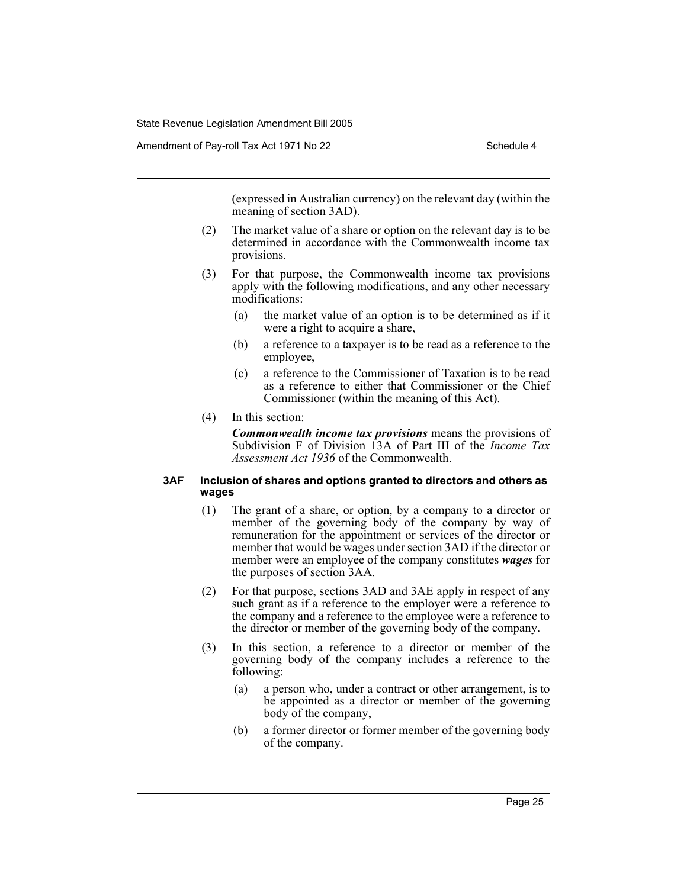(expressed in Australian currency) on the relevant day (within the meaning of section 3AD).

- (2) The market value of a share or option on the relevant day is to be determined in accordance with the Commonwealth income tax provisions.
- (3) For that purpose, the Commonwealth income tax provisions apply with the following modifications, and any other necessary modifications:
	- (a) the market value of an option is to be determined as if it were a right to acquire a share,
	- (b) a reference to a taxpayer is to be read as a reference to the employee,
	- (c) a reference to the Commissioner of Taxation is to be read as a reference to either that Commissioner or the Chief Commissioner (within the meaning of this Act).
- (4) In this section:

*Commonwealth income tax provisions* means the provisions of Subdivision F of Division 13A of Part III of the *Income Tax Assessment Act 1936* of the Commonwealth.

#### **3AF Inclusion of shares and options granted to directors and others as wages**

- (1) The grant of a share, or option, by a company to a director or member of the governing body of the company by way of remuneration for the appointment or services of the director or member that would be wages under section 3AD if the director or member were an employee of the company constitutes *wages* for the purposes of section 3AA.
- (2) For that purpose, sections 3AD and 3AE apply in respect of any such grant as if a reference to the employer were a reference to the company and a reference to the employee were a reference to the director or member of the governing body of the company.
- (3) In this section, a reference to a director or member of the governing body of the company includes a reference to the following:
	- (a) a person who, under a contract or other arrangement, is to be appointed as a director or member of the governing body of the company,
	- (b) a former director or former member of the governing body of the company.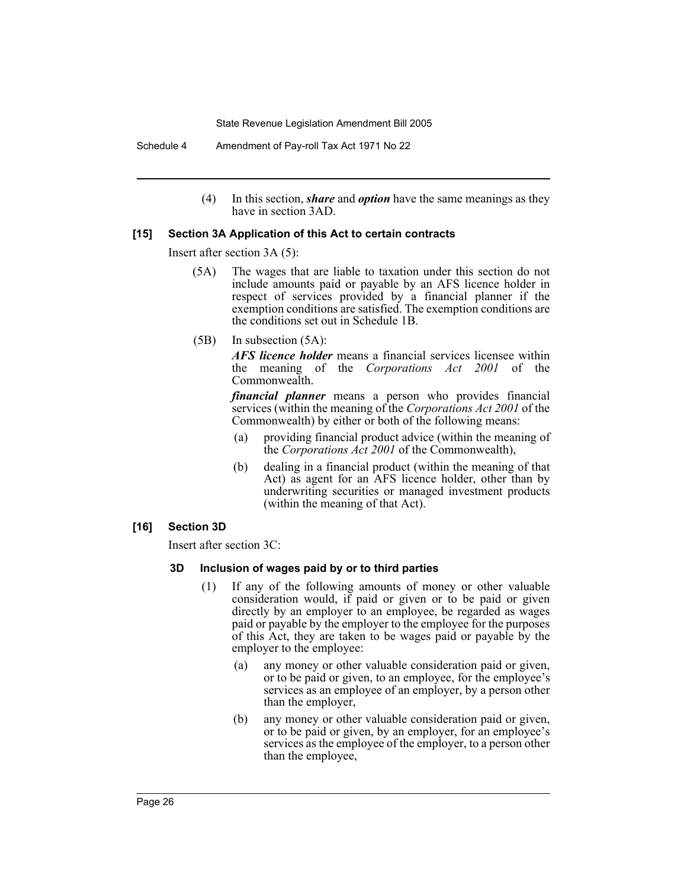Schedule 4 Amendment of Pay-roll Tax Act 1971 No 22

(4) In this section, *share* and *option* have the same meanings as they have in section 3AD.

# **[15] Section 3A Application of this Act to certain contracts**

Insert after section 3A (5):

- (5A) The wages that are liable to taxation under this section do not include amounts paid or payable by an AFS licence holder in respect of services provided by a financial planner if the exemption conditions are satisfied. The exemption conditions are the conditions set out in Schedule 1B.
- (5B) In subsection (5A):

*AFS licence holder* means a financial services licensee within the meaning of the *Corporations Act 2001* of the Commonwealth.

*financial planner* means a person who provides financial services (within the meaning of the *Corporations Act 2001* of the Commonwealth) by either or both of the following means:

- (a) providing financial product advice (within the meaning of the *Corporations Act 2001* of the Commonwealth),
- (b) dealing in a financial product (within the meaning of that Act) as agent for an AFS licence holder, other than by underwriting securities or managed investment products (within the meaning of that Act).
- **[16] Section 3D**

Insert after section 3C:

#### **3D Inclusion of wages paid by or to third parties**

- (1) If any of the following amounts of money or other valuable consideration would, if paid or given or to be paid or given directly by an employer to an employee, be regarded as wages paid or payable by the employer to the employee for the purposes of this Act, they are taken to be wages paid or payable by the employer to the employee:
	- (a) any money or other valuable consideration paid or given, or to be paid or given, to an employee, for the employee's services as an employee of an employer, by a person other than the employer,
	- (b) any money or other valuable consideration paid or given, or to be paid or given, by an employer, for an employee's services as the employee of the employer, to a person other than the employee,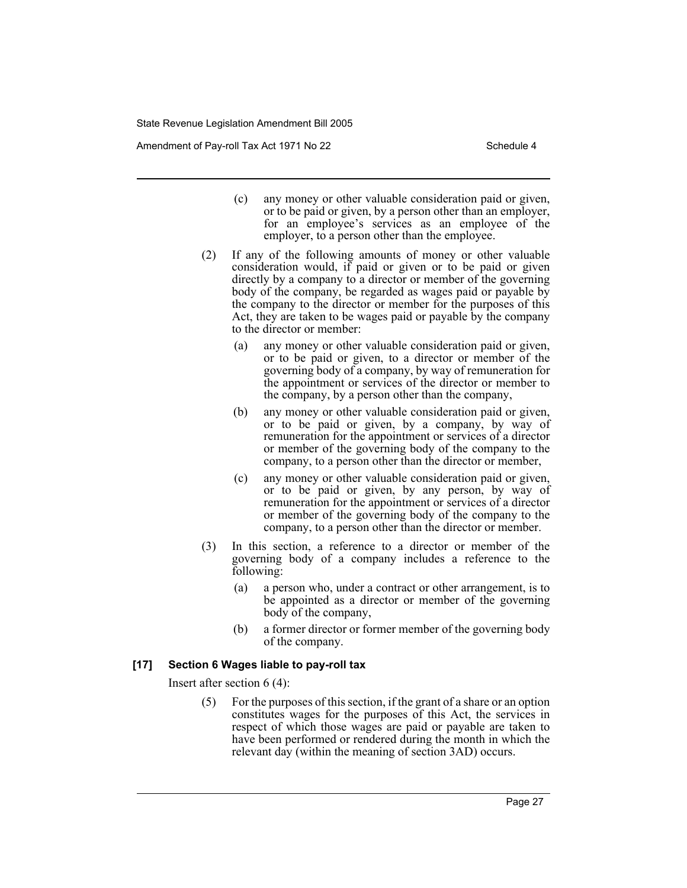Amendment of Pay-roll Tax Act 1971 No 22 Schedule 4

- (c) any money or other valuable consideration paid or given, or to be paid or given, by a person other than an employer, for an employee's services as an employee of the employer, to a person other than the employee.
- (2) If any of the following amounts of money or other valuable consideration would, if paid or given or to be paid or given directly by a company to a director or member of the governing body of the company, be regarded as wages paid or payable by the company to the director or member for the purposes of this Act, they are taken to be wages paid or payable by the company to the director or member:
	- (a) any money or other valuable consideration paid or given, or to be paid or given, to a director or member of the governing body of a company, by way of remuneration for the appointment or services of the director or member to the company, by a person other than the company,
	- (b) any money or other valuable consideration paid or given, or to be paid or given, by a company, by way of remuneration for the appointment or services of a director or member of the governing body of the company to the company, to a person other than the director or member,
	- (c) any money or other valuable consideration paid or given, or to be paid or given, by any person, by way of remuneration for the appointment or services of a director or member of the governing body of the company to the company, to a person other than the director or member.
- (3) In this section, a reference to a director or member of the governing body of a company includes a reference to the following:
	- (a) a person who, under a contract or other arrangement, is to be appointed as a director or member of the governing body of the company,
	- (b) a former director or former member of the governing body of the company.

## **[17] Section 6 Wages liable to pay-roll tax**

Insert after section 6 (4):

(5) For the purposes of this section, if the grant of a share or an option constitutes wages for the purposes of this Act, the services in respect of which those wages are paid or payable are taken to have been performed or rendered during the month in which the relevant day (within the meaning of section 3AD) occurs.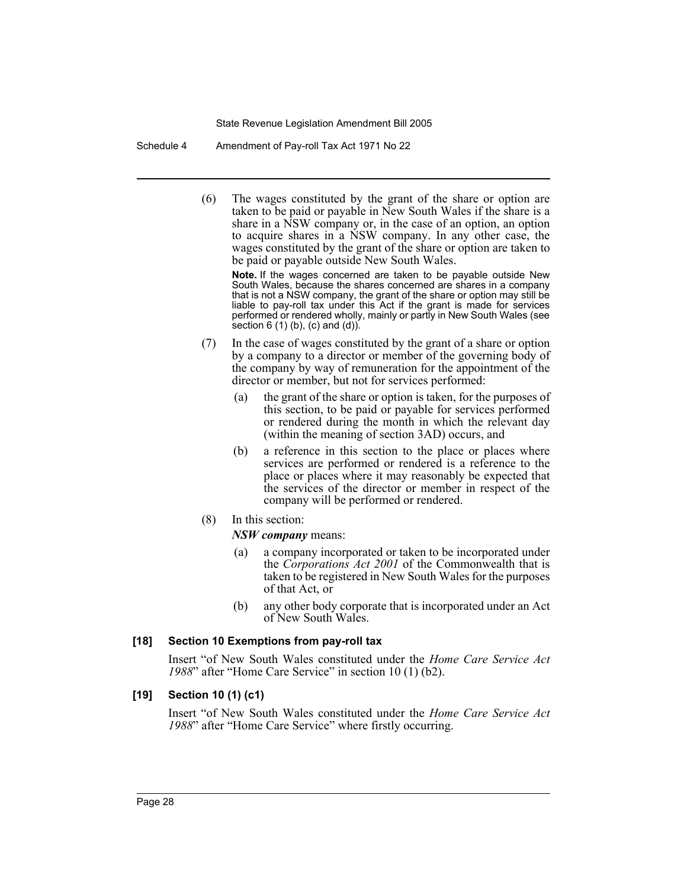Schedule 4 Amendment of Pay-roll Tax Act 1971 No 22

(6) The wages constituted by the grant of the share or option are taken to be paid or payable in New South Wales if the share is a share in a NSW company or, in the case of an option, an option to acquire shares in a NSW company. In any other case, the wages constituted by the grant of the share or option are taken to be paid or payable outside New South Wales.

**Note.** If the wages concerned are taken to be payable outside New South Wales, because the shares concerned are shares in a company that is not a NSW company, the grant of the share or option may still be liable to pay-roll tax under this Act if the grant is made for services performed or rendered wholly, mainly or partly in New South Wales (see section  $6(1)(b)$ ,  $(c)$  and  $(d)$ ).

- (7) In the case of wages constituted by the grant of a share or option by a company to a director or member of the governing body of the company by way of remuneration for the appointment of the director or member, but not for services performed:
	- (a) the grant of the share or option is taken, for the purposes of this section, to be paid or payable for services performed or rendered during the month in which the relevant day (within the meaning of section 3AD) occurs, and
	- (b) a reference in this section to the place or places where services are performed or rendered is a reference to the place or places where it may reasonably be expected that the services of the director or member in respect of the company will be performed or rendered.
- (8) In this section:

# *NSW company* means:

- (a) a company incorporated or taken to be incorporated under the *Corporations Act 2001* of the Commonwealth that is taken to be registered in New South Wales for the purposes of that Act, or
- (b) any other body corporate that is incorporated under an Act of New South Wales.

# **[18] Section 10 Exemptions from pay-roll tax**

Insert "of New South Wales constituted under the *Home Care Service Act 1988*" after "Home Care Service" in section 10 (1) (b2).

# **[19] Section 10 (1) (c1)**

Insert "of New South Wales constituted under the *Home Care Service Act 1988*" after "Home Care Service" where firstly occurring.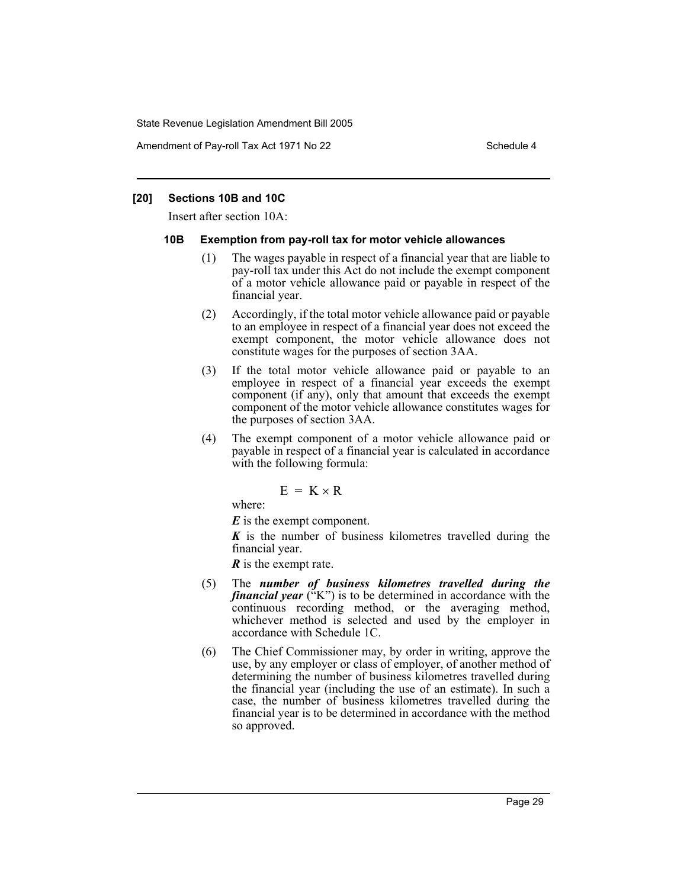Amendment of Pay-roll Tax Act 1971 No 22 Schedule 4

## **[20] Sections 10B and 10C**

Insert after section 10A:

# **10B Exemption from pay-roll tax for motor vehicle allowances**

- (1) The wages payable in respect of a financial year that are liable to pay-roll tax under this Act do not include the exempt component of a motor vehicle allowance paid or payable in respect of the financial year.
- (2) Accordingly, if the total motor vehicle allowance paid or payable to an employee in respect of a financial year does not exceed the exempt component, the motor vehicle allowance does not constitute wages for the purposes of section 3AA.
- (3) If the total motor vehicle allowance paid or payable to an employee in respect of a financial year exceeds the exempt component (if any), only that amount that exceeds the exempt component of the motor vehicle allowance constitutes wages for the purposes of section 3AA.
- (4) The exempt component of a motor vehicle allowance paid or payable in respect of a financial year is calculated in accordance with the following formula:

$$
E = K \times R
$$

where:

*E* is the exempt component.

*K* is the number of business kilometres travelled during the financial year.

*R* is the exempt rate.

- (5) The *number of business kilometres travelled during the financial year* ("K") is to be determined in accordance with the continuous recording method, or the averaging method, whichever method is selected and used by the employer in accordance with Schedule 1C.
- (6) The Chief Commissioner may, by order in writing, approve the use, by any employer or class of employer, of another method of determining the number of business kilometres travelled during the financial year (including the use of an estimate). In such a case, the number of business kilometres travelled during the financial year is to be determined in accordance with the method so approved.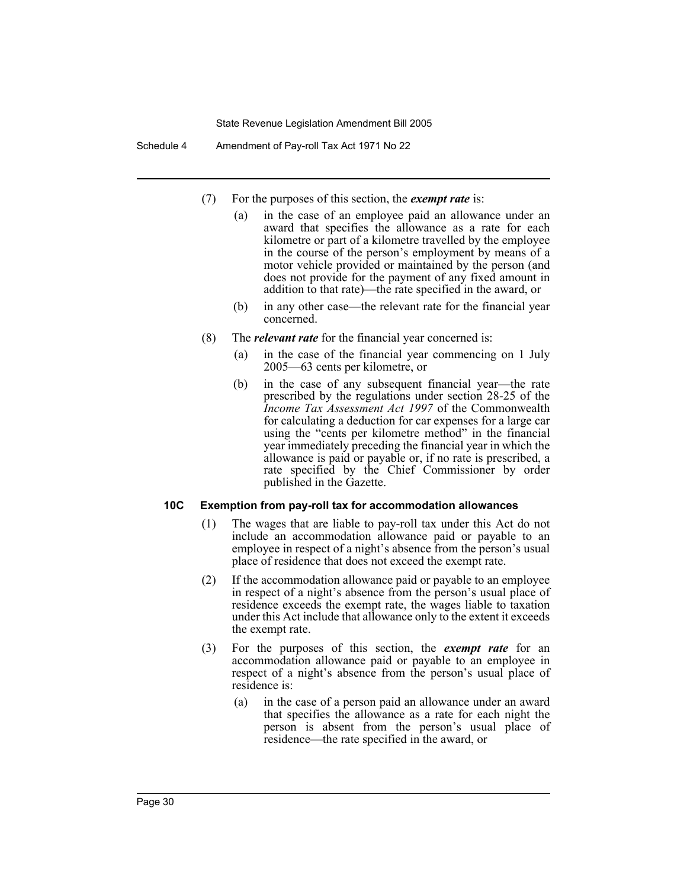Schedule 4 Amendment of Pay-roll Tax Act 1971 No 22

- (7) For the purposes of this section, the *exempt rate* is:
	- (a) in the case of an employee paid an allowance under an award that specifies the allowance as a rate for each kilometre or part of a kilometre travelled by the employee in the course of the person's employment by means of a motor vehicle provided or maintained by the person (and does not provide for the payment of any fixed amount in addition to that rate)—the rate specified in the award, or
	- (b) in any other case—the relevant rate for the financial year concerned.
- (8) The *relevant rate* for the financial year concerned is:
	- (a) in the case of the financial year commencing on 1 July 2005—63 cents per kilometre, or
	- (b) in the case of any subsequent financial year—the rate prescribed by the regulations under section 28-25 of the *Income Tax Assessment Act 1997* of the Commonwealth for calculating a deduction for car expenses for a large car using the "cents per kilometre method" in the financial year immediately preceding the financial year in which the allowance is paid or payable or, if no rate is prescribed, a rate specified by the Chief Commissioner by order published in the Gazette.

# **10C Exemption from pay-roll tax for accommodation allowances**

- (1) The wages that are liable to pay-roll tax under this Act do not include an accommodation allowance paid or payable to an employee in respect of a night's absence from the person's usual place of residence that does not exceed the exempt rate.
- (2) If the accommodation allowance paid or payable to an employee in respect of a night's absence from the person's usual place of residence exceeds the exempt rate, the wages liable to taxation under this Act include that allowance only to the extent it exceeds the exempt rate.
- (3) For the purposes of this section, the *exempt rate* for an accommodation allowance paid or payable to an employee in respect of a night's absence from the person's usual place of residence is:
	- (a) in the case of a person paid an allowance under an award that specifies the allowance as a rate for each night the person is absent from the person's usual place of residence—the rate specified in the award, or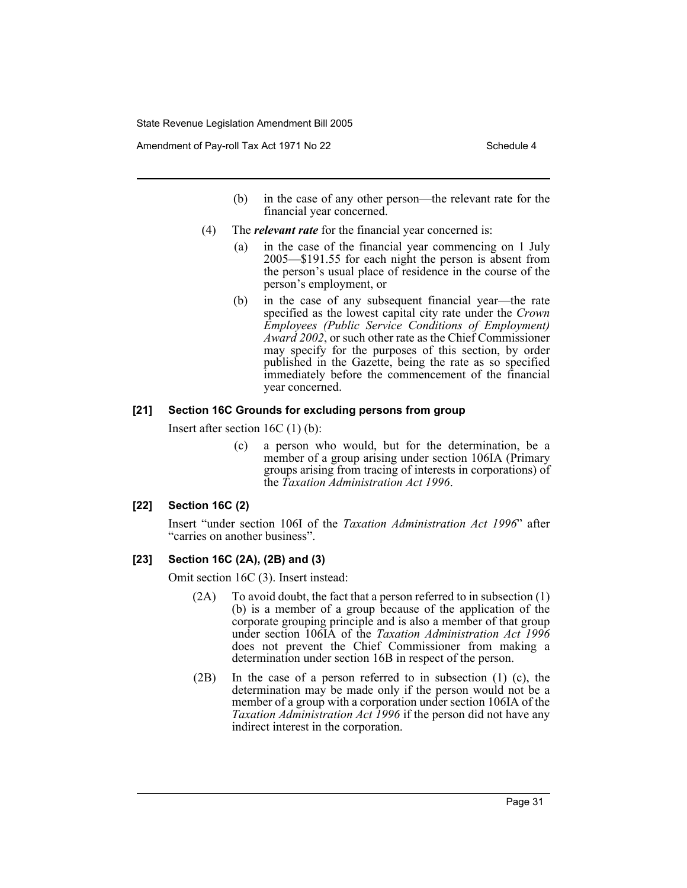Amendment of Pay-roll Tax Act 1971 No 22 Schedule 4

- (b) in the case of any other person—the relevant rate for the financial year concerned.
- (4) The *relevant rate* for the financial year concerned is:
	- (a) in the case of the financial year commencing on 1 July 2005—\$191.55 for each night the person is absent from the person's usual place of residence in the course of the person's employment, or
	- (b) in the case of any subsequent financial year—the rate specified as the lowest capital city rate under the *Crown Employees (Public Service Conditions of Employment) Award 2002*, or such other rate as the Chief Commissioner may specify for the purposes of this section, by order published in the Gazette, being the rate as so specified immediately before the commencement of the financial year concerned.

# **[21] Section 16C Grounds for excluding persons from group**

Insert after section 16C (1) (b):

(c) a person who would, but for the determination, be a member of a group arising under section 106IA (Primary groups arising from tracing of interests in corporations) of the *Taxation Administration Act 1996*.

## **[22] Section 16C (2)**

Insert "under section 106I of the *Taxation Administration Act 1996*" after "carries on another business".

## **[23] Section 16C (2A), (2B) and (3)**

Omit section 16C (3). Insert instead:

- (2A) To avoid doubt, the fact that a person referred to in subsection (1) (b) is a member of a group because of the application of the corporate grouping principle and is also a member of that group under section 106IA of the *Taxation Administration Act 1996* does not prevent the Chief Commissioner from making a determination under section 16B in respect of the person.
- (2B) In the case of a person referred to in subsection (1) (c), the determination may be made only if the person would not be a member of a group with a corporation under section 106IA of the *Taxation Administration Act 1996* if the person did not have any indirect interest in the corporation.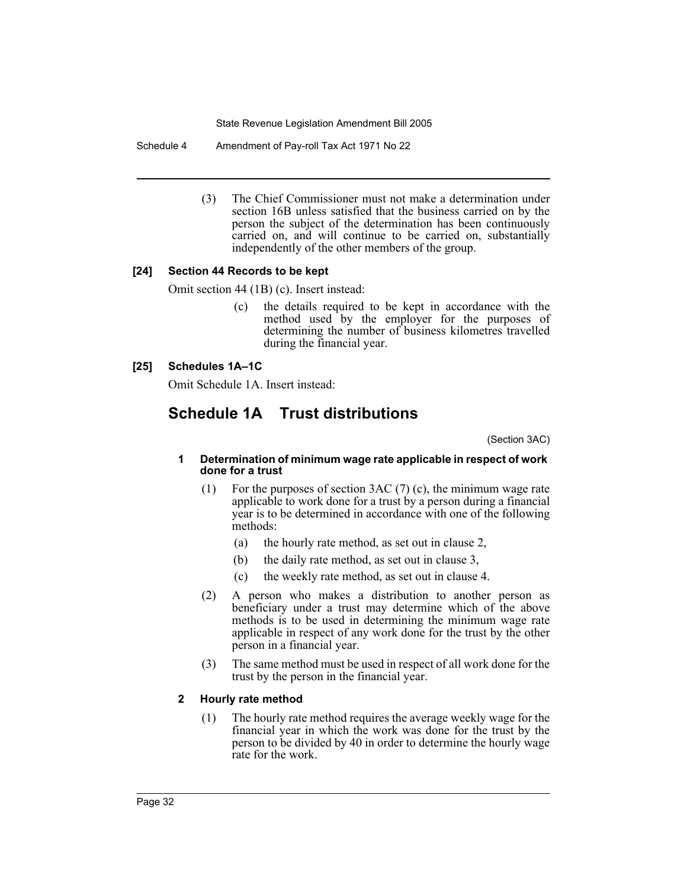Schedule 4 Amendment of Pay-roll Tax Act 1971 No 22

(3) The Chief Commissioner must not make a determination under section 16B unless satisfied that the business carried on by the person the subject of the determination has been continuously carried on, and will continue to be carried on, substantially independently of the other members of the group.

# **[24] Section 44 Records to be kept**

Omit section 44 (1B) (c). Insert instead:

(c) the details required to be kept in accordance with the method used by the employer for the purposes of determining the number of business kilometres travelled during the financial year.

# **[25] Schedules 1A–1C**

Omit Schedule 1A. Insert instead:

# **Schedule 1A Trust distributions**

(Section 3AC)

#### **1 Determination of minimum wage rate applicable in respect of work done for a trust**

- (1) For the purposes of section 3AC (7) (c), the minimum wage rate applicable to work done for a trust by a person during a financial year is to be determined in accordance with one of the following methods:
	- (a) the hourly rate method, as set out in clause 2,
	- (b) the daily rate method, as set out in clause 3,
	- (c) the weekly rate method, as set out in clause 4.
- (2) A person who makes a distribution to another person as beneficiary under a trust may determine which of the above methods is to be used in determining the minimum wage rate applicable in respect of any work done for the trust by the other person in a financial year.
- (3) The same method must be used in respect of all work done for the trust by the person in the financial year.

# **2 Hourly rate method**

(1) The hourly rate method requires the average weekly wage for the financial year in which the work was done for the trust by the person to be divided by 40 in order to determine the hourly wage rate for the work.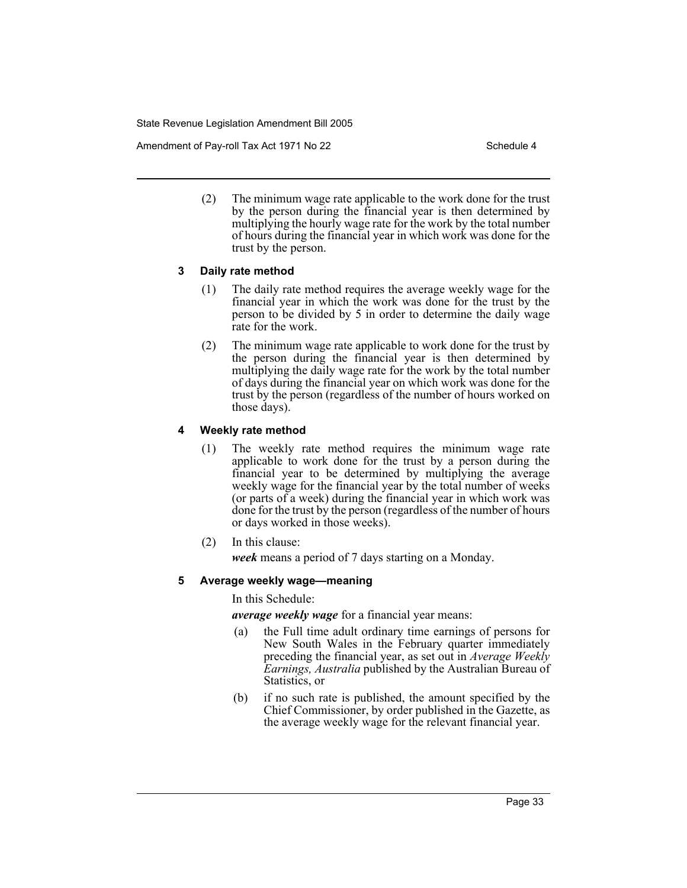Amendment of Pay-roll Tax Act 1971 No 22 Schedule 4

(2) The minimum wage rate applicable to the work done for the trust by the person during the financial year is then determined by multiplying the hourly wage rate for the work by the total number of hours during the financial year in which work was done for the trust by the person.

# **3 Daily rate method**

- (1) The daily rate method requires the average weekly wage for the financial year in which the work was done for the trust by the person to be divided by 5 in order to determine the daily wage rate for the work.
- (2) The minimum wage rate applicable to work done for the trust by the person during the financial year is then determined by multiplying the daily wage rate for the work by the total number of days during the financial year on which work was done for the trust by the person (regardless of the number of hours worked on those days).

# **4 Weekly rate method**

- (1) The weekly rate method requires the minimum wage rate applicable to work done for the trust by a person during the financial year to be determined by multiplying the average weekly wage for the financial year by the total number of weeks (or parts of a week) during the financial year in which work was done for the trust by the person (regardless of the number of hours or days worked in those weeks).
- (2) In this clause:

*week* means a period of 7 days starting on a Monday.

# **5 Average weekly wage—meaning**

In this Schedule:

*average weekly wage* for a financial year means:

- (a) the Full time adult ordinary time earnings of persons for New South Wales in the February quarter immediately preceding the financial year, as set out in *Average Weekly Earnings, Australia* published by the Australian Bureau of Statistics, or
- (b) if no such rate is published, the amount specified by the Chief Commissioner, by order published in the Gazette, as the average weekly wage for the relevant financial year.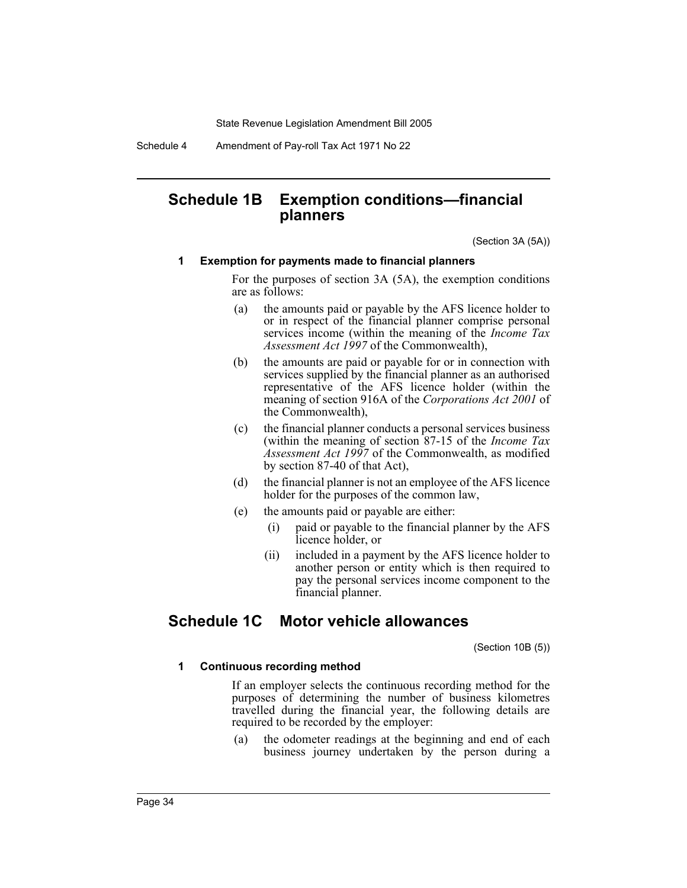Schedule 4 Amendment of Pay-roll Tax Act 1971 No 22

# **Schedule 1B Exemption conditions—financial planners**

(Section 3A (5A))

#### **1 Exemption for payments made to financial planners**

For the purposes of section 3A (5A), the exemption conditions are as follows:

- (a) the amounts paid or payable by the AFS licence holder to or in respect of the financial planner comprise personal services income (within the meaning of the *Income Tax Assessment Act 1997* of the Commonwealth),
- (b) the amounts are paid or payable for or in connection with services supplied by the financial planner as an authorised representative of the AFS licence holder (within the meaning of section 916A of the *Corporations Act 2001* of the Commonwealth),
- (c) the financial planner conducts a personal services business (within the meaning of section 87-15 of the *Income Tax Assessment Act 1997* of the Commonwealth, as modified by section 87-40 of that Act),
- (d) the financial planner is not an employee of the AFS licence holder for the purposes of the common law,
- (e) the amounts paid or payable are either:
	- (i) paid or payable to the financial planner by the AFS licence holder, or
	- (ii) included in a payment by the AFS licence holder to another person or entity which is then required to pay the personal services income component to the financial planner.

# **Schedule 1C Motor vehicle allowances**

(Section 10B (5))

### **1 Continuous recording method**

If an employer selects the continuous recording method for the purposes of determining the number of business kilometres travelled during the financial year, the following details are required to be recorded by the employer:

(a) the odometer readings at the beginning and end of each business journey undertaken by the person during a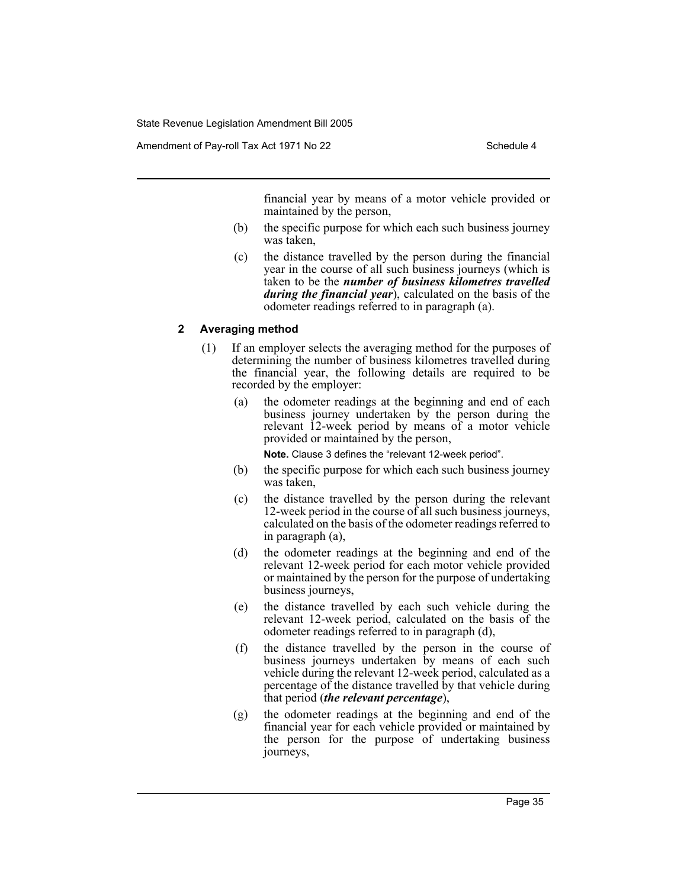financial year by means of a motor vehicle provided or maintained by the person,

- (b) the specific purpose for which each such business journey was taken,
- (c) the distance travelled by the person during the financial year in the course of all such business journeys (which is taken to be the *number of business kilometres travelled during the financial year*), calculated on the basis of the odometer readings referred to in paragraph (a).

# **2 Averaging method**

- (1) If an employer selects the averaging method for the purposes of determining the number of business kilometres travelled during the financial year, the following details are required to be recorded by the employer:
	- (a) the odometer readings at the beginning and end of each business journey undertaken by the person during the relevant 12-week period by means of a motor vehicle provided or maintained by the person,

**Note.** Clause 3 defines the "relevant 12-week period".

- (b) the specific purpose for which each such business journey was taken,
- (c) the distance travelled by the person during the relevant 12-week period in the course of all such business journeys, calculated on the basis of the odometer readings referred to in paragraph (a),
- (d) the odometer readings at the beginning and end of the relevant 12-week period for each motor vehicle provided or maintained by the person for the purpose of undertaking business journeys,
- (e) the distance travelled by each such vehicle during the relevant 12-week period, calculated on the basis of the odometer readings referred to in paragraph (d),
- (f) the distance travelled by the person in the course of business journeys undertaken by means of each such vehicle during the relevant 12-week period, calculated as a percentage of the distance travelled by that vehicle during that period (*the relevant percentage*),
- (g) the odometer readings at the beginning and end of the financial year for each vehicle provided or maintained by the person for the purpose of undertaking business journeys,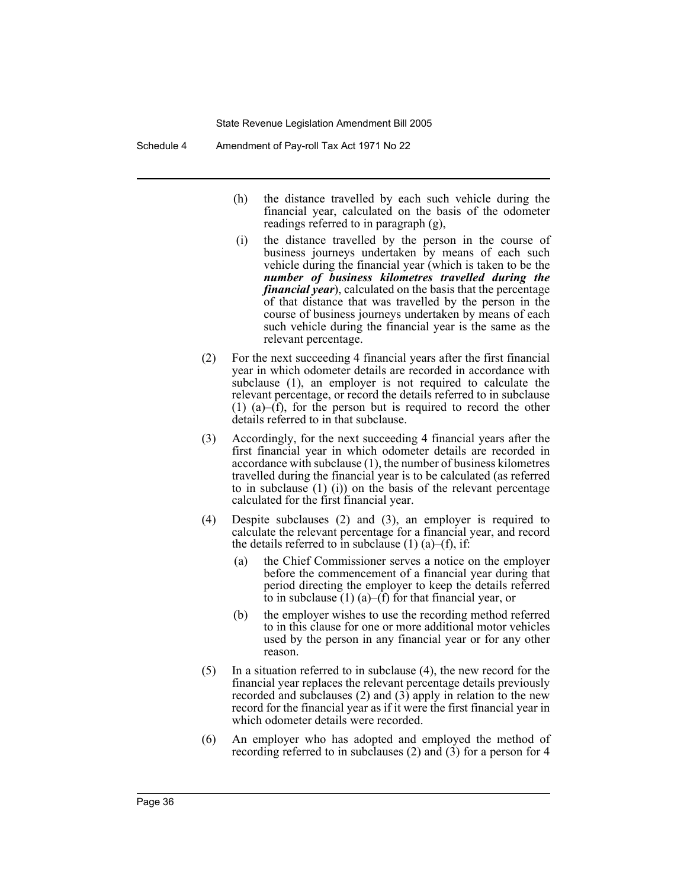Schedule 4 Amendment of Pay-roll Tax Act 1971 No 22

- (h) the distance travelled by each such vehicle during the financial year, calculated on the basis of the odometer readings referred to in paragraph (g),
- (i) the distance travelled by the person in the course of business journeys undertaken by means of each such vehicle during the financial year (which is taken to be the *number of business kilometres travelled during the financial year*), calculated on the basis that the percentage of that distance that was travelled by the person in the course of business journeys undertaken by means of each such vehicle during the financial year is the same as the relevant percentage.
- (2) For the next succeeding 4 financial years after the first financial year in which odometer details are recorded in accordance with subclause (1), an employer is not required to calculate the relevant percentage, or record the details referred to in subclause (1) (a)–(f), for the person but is required to record the other details referred to in that subclause.
- (3) Accordingly, for the next succeeding 4 financial years after the first financial year in which odometer details are recorded in accordance with subclause (1), the number of business kilometres travelled during the financial year is to be calculated (as referred to in subclause (1) (i)) on the basis of the relevant percentage calculated for the first financial year.
- (4) Despite subclauses (2) and (3), an employer is required to calculate the relevant percentage for a financial year, and record the details referred to in subclause  $(1)$   $(a)$ – $(f)$ , if:
	- (a) the Chief Commissioner serves a notice on the employer before the commencement of a financial year during that period directing the employer to keep the details referred to in subclause  $(1)$  (a)–(f) for that financial year, or
	- (b) the employer wishes to use the recording method referred to in this clause for one or more additional motor vehicles used by the person in any financial year or for any other reason.
- (5) In a situation referred to in subclause (4), the new record for the financial year replaces the relevant percentage details previously recorded and subclauses (2) and (3) apply in relation to the new record for the financial year as if it were the first financial year in which odometer details were recorded.
- (6) An employer who has adopted and employed the method of recording referred to in subclauses (2) and (3) for a person for 4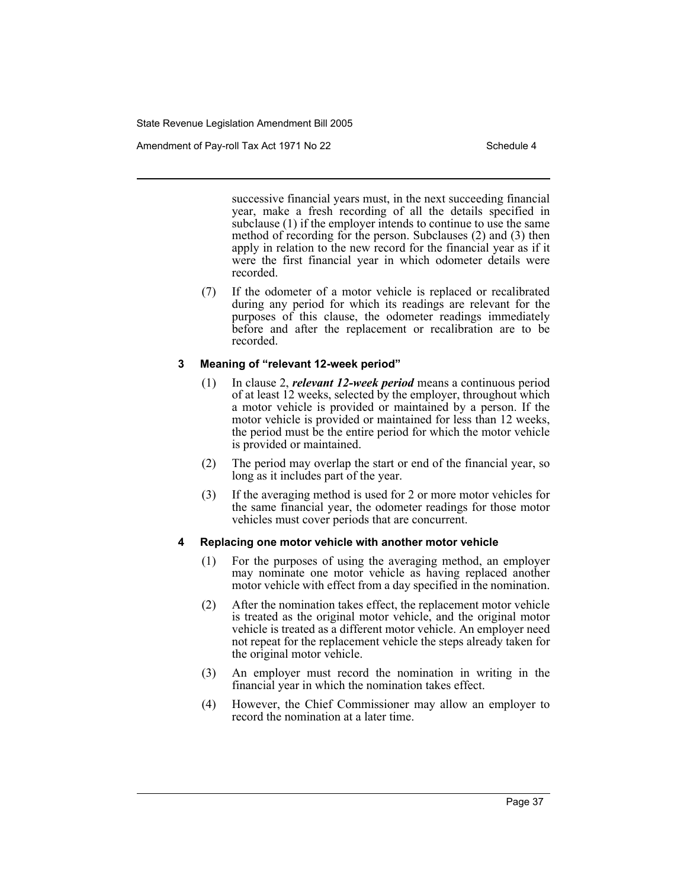Amendment of Pay-roll Tax Act 1971 No 22 Schedule 4

successive financial years must, in the next succeeding financial year, make a fresh recording of all the details specified in subclause (1) if the employer intends to continue to use the same method of recording for the person. Subclauses (2) and (3) then apply in relation to the new record for the financial year as if it were the first financial year in which odometer details were recorded.

(7) If the odometer of a motor vehicle is replaced or recalibrated during any period for which its readings are relevant for the purposes of this clause, the odometer readings immediately before and after the replacement or recalibration are to be recorded.

# **3 Meaning of "relevant 12-week period"**

- (1) In clause 2, *relevant 12-week period* means a continuous period of at least 12 weeks, selected by the employer, throughout which a motor vehicle is provided or maintained by a person. If the motor vehicle is provided or maintained for less than 12 weeks, the period must be the entire period for which the motor vehicle is provided or maintained.
- (2) The period may overlap the start or end of the financial year, so long as it includes part of the year.
- (3) If the averaging method is used for 2 or more motor vehicles for the same financial year, the odometer readings for those motor vehicles must cover periods that are concurrent.

## **4 Replacing one motor vehicle with another motor vehicle**

- (1) For the purposes of using the averaging method, an employer may nominate one motor vehicle as having replaced another motor vehicle with effect from a day specified in the nomination.
- (2) After the nomination takes effect, the replacement motor vehicle is treated as the original motor vehicle, and the original motor vehicle is treated as a different motor vehicle. An employer need not repeat for the replacement vehicle the steps already taken for the original motor vehicle.
- (3) An employer must record the nomination in writing in the financial year in which the nomination takes effect.
- (4) However, the Chief Commissioner may allow an employer to record the nomination at a later time.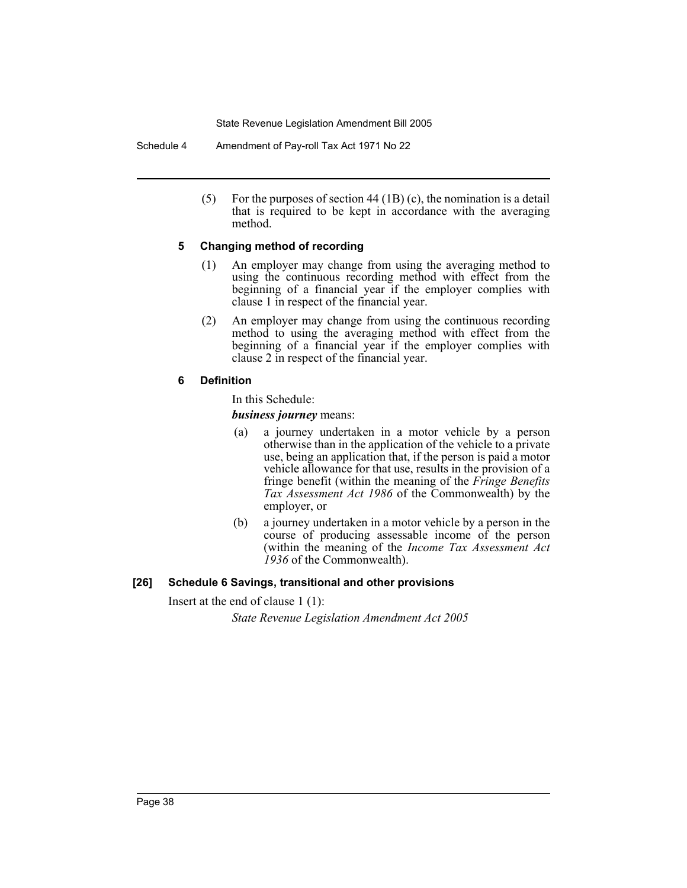Schedule 4 Amendment of Pay-roll Tax Act 1971 No 22

(5) For the purposes of section 44 (1B) (c), the nomination is a detail that is required to be kept in accordance with the averaging method.

# **5 Changing method of recording**

- (1) An employer may change from using the averaging method to using the continuous recording method with effect from the beginning of a financial year if the employer complies with clause 1 in respect of the financial year.
- (2) An employer may change from using the continuous recording method to using the averaging method with effect from the beginning of a financial year if the employer complies with clause 2 in respect of the financial year.

# **6 Definition**

In this Schedule:

*business journey* means:

- (a) a journey undertaken in a motor vehicle by a person otherwise than in the application of the vehicle to a private use, being an application that, if the person is paid a motor vehicle allowance for that use, results in the provision of a fringe benefit (within the meaning of the *Fringe Benefits Tax Assessment Act 1986* of the Commonwealth) by the employer, or
- (b) a journey undertaken in a motor vehicle by a person in the course of producing assessable income of the person (within the meaning of the *Income Tax Assessment Act 1936* of the Commonwealth).

# **[26] Schedule 6 Savings, transitional and other provisions**

Insert at the end of clause 1 (1):

*State Revenue Legislation Amendment Act 2005*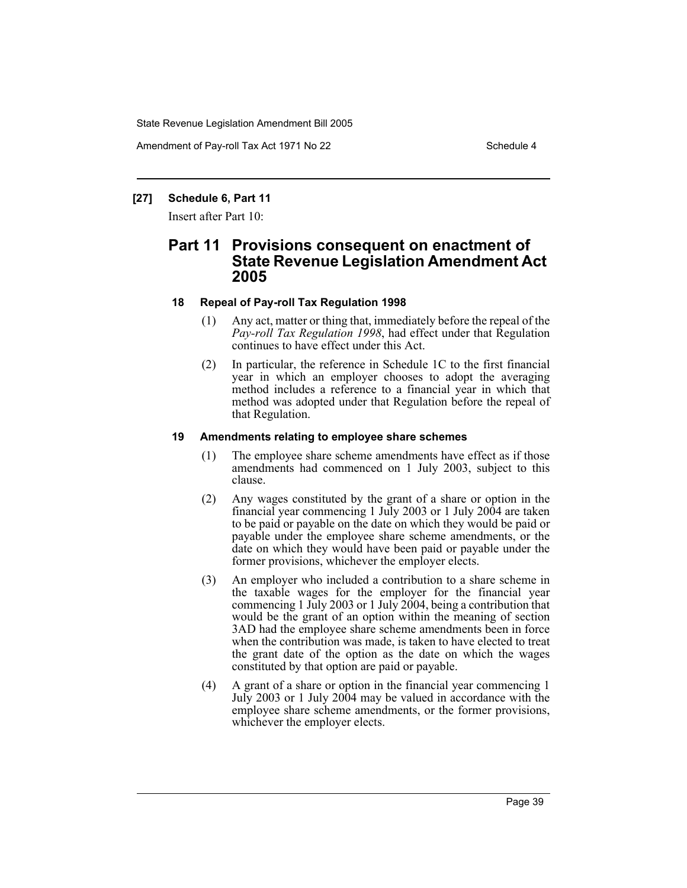Amendment of Pay-roll Tax Act 1971 No 22 Schedule 4

# **[27] Schedule 6, Part 11**

Insert after Part 10:

# **Part 11 Provisions consequent on enactment of State Revenue Legislation Amendment Act 2005**

# **18 Repeal of Pay-roll Tax Regulation 1998**

- (1) Any act, matter or thing that, immediately before the repeal of the Pay-roll Tax Regulation 1998, had effect under that Regulation continues to have effect under this Act.
- (2) In particular, the reference in Schedule 1C to the first financial year in which an employer chooses to adopt the averaging method includes a reference to a financial year in which that method was adopted under that Regulation before the repeal of that Regulation.

# **19 Amendments relating to employee share schemes**

- (1) The employee share scheme amendments have effect as if those amendments had commenced on 1 July 2003, subject to this clause.
- (2) Any wages constituted by the grant of a share or option in the financial year commencing 1 July 2003 or 1 July 2004 are taken to be paid or payable on the date on which they would be paid or payable under the employee share scheme amendments, or the date on which they would have been paid or payable under the former provisions, whichever the employer elects.
- (3) An employer who included a contribution to a share scheme in the taxable wages for the employer for the financial year commencing 1 July 2003 or 1 July 2004, being a contribution that would be the grant of an option within the meaning of section 3AD had the employee share scheme amendments been in force when the contribution was made, is taken to have elected to treat the grant date of the option as the date on which the wages constituted by that option are paid or payable.
- (4) A grant of a share or option in the financial year commencing 1 July 2003 or 1 July 2004 may be valued in accordance with the employee share scheme amendments, or the former provisions, whichever the employer elects.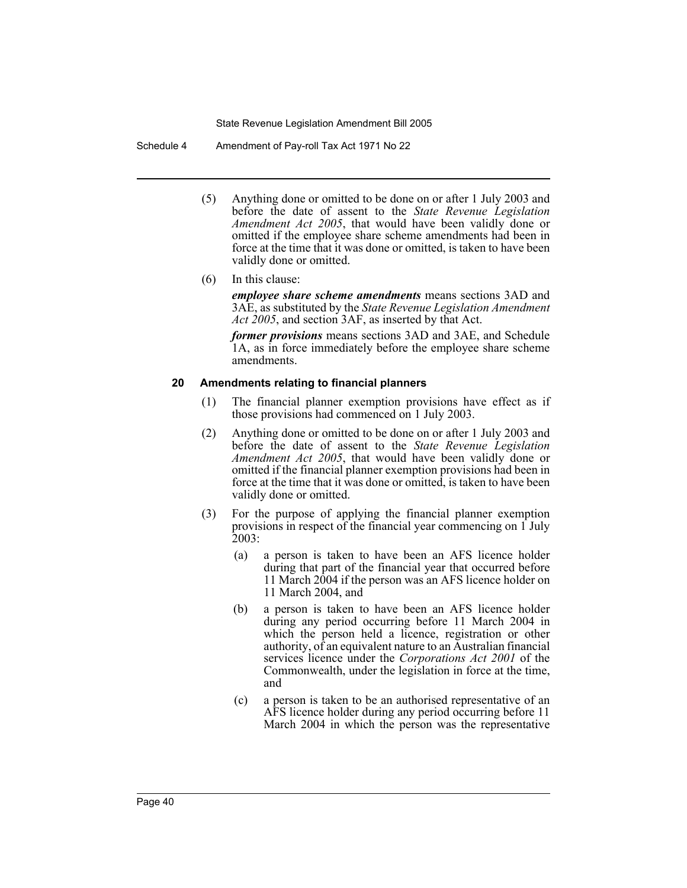Schedule 4 Amendment of Pay-roll Tax Act 1971 No 22

- (5) Anything done or omitted to be done on or after 1 July 2003 and before the date of assent to the *State Revenue Legislation Amendment Act 2005*, that would have been validly done or omitted if the employee share scheme amendments had been in force at the time that it was done or omitted, is taken to have been validly done or omitted.
- (6) In this clause:

*employee share scheme amendments* means sections 3AD and 3AE, as substituted by the *State Revenue Legislation Amendment Act 2005*, and section 3AF, as inserted by that Act.

*former provisions* means sections 3AD and 3AE, and Schedule 1A, as in force immediately before the employee share scheme amendments.

### **20 Amendments relating to financial planners**

- (1) The financial planner exemption provisions have effect as if those provisions had commenced on 1 July 2003.
- (2) Anything done or omitted to be done on or after 1 July 2003 and before the date of assent to the *State Revenue Legislation Amendment Act 2005*, that would have been validly done or omitted if the financial planner exemption provisions had been in force at the time that it was done or omitted, is taken to have been validly done or omitted.
- (3) For the purpose of applying the financial planner exemption provisions in respect of the financial year commencing on  $\overline{1}$  July 2003:
	- (a) a person is taken to have been an AFS licence holder during that part of the financial year that occurred before 11 March 2004 if the person was an AFS licence holder on 11 March 2004, and
	- (b) a person is taken to have been an AFS licence holder during any period occurring before 11 March 2004 in which the person held a licence, registration or other authority, of an equivalent nature to an Australian financial services licence under the *Corporations Act 2001* of the Commonwealth, under the legislation in force at the time, and
	- (c) a person is taken to be an authorised representative of an AFS licence holder during any period occurring before 11 March 2004 in which the person was the representative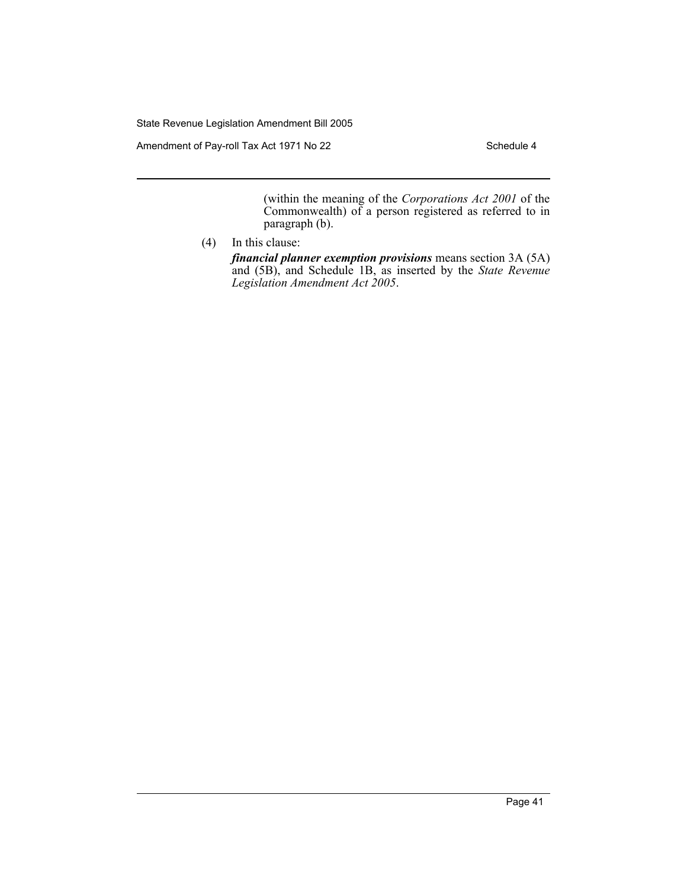Amendment of Pay-roll Tax Act 1971 No 22 Schedule 4

(within the meaning of the *Corporations Act 2001* of the Commonwealth) of a person registered as referred to in paragraph (b).

(4) In this clause:

*financial planner exemption provisions* means section 3A (5A) and (5B), and Schedule 1B, as inserted by the *State Revenue Legislation Amendment Act 2005*.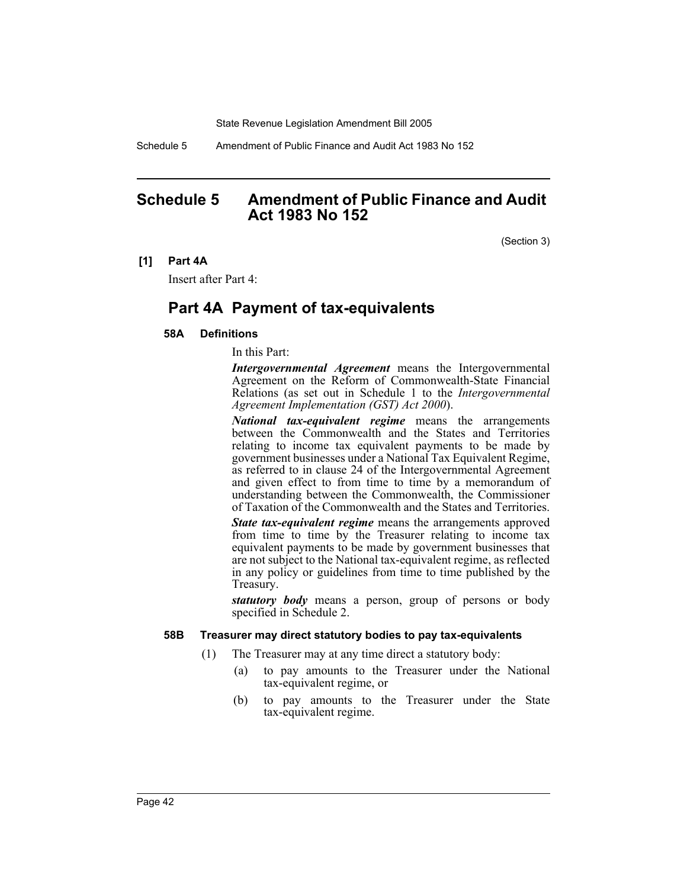Schedule 5 Amendment of Public Finance and Audit Act 1983 No 152

# **Schedule 5 Amendment of Public Finance and Audit Act 1983 No 152**

(Section 3)

#### **[1] Part 4A**

Insert after Part 4:

# **Part 4A Payment of tax-equivalents**

## **58A Definitions**

In this Part:

*Intergovernmental Agreement* means the Intergovernmental Agreement on the Reform of Commonwealth-State Financial Relations (as set out in Schedule 1 to the *Intergovernmental Agreement Implementation (GST) Act 2000*).

*National tax-equivalent regime* means the arrangements between the Commonwealth and the States and Territories relating to income tax equivalent payments to be made by government businesses under a National Tax Equivalent Regime, as referred to in clause 24 of the Intergovernmental Agreement and given effect to from time to time by a memorandum of understanding between the Commonwealth, the Commissioner of Taxation of the Commonwealth and the States and Territories.

*State tax-equivalent regime* means the arrangements approved from time to time by the Treasurer relating to income tax equivalent payments to be made by government businesses that are not subject to the National tax-equivalent regime, as reflected in any policy or guidelines from time to time published by the Treasury.

*statutory body* means a person, group of persons or body specified in Schedule 2.

## **58B Treasurer may direct statutory bodies to pay tax-equivalents**

- (1) The Treasurer may at any time direct a statutory body:
	- (a) to pay amounts to the Treasurer under the National tax-equivalent regime, or
	- (b) to pay amounts to the Treasurer under the State tax-equivalent regime.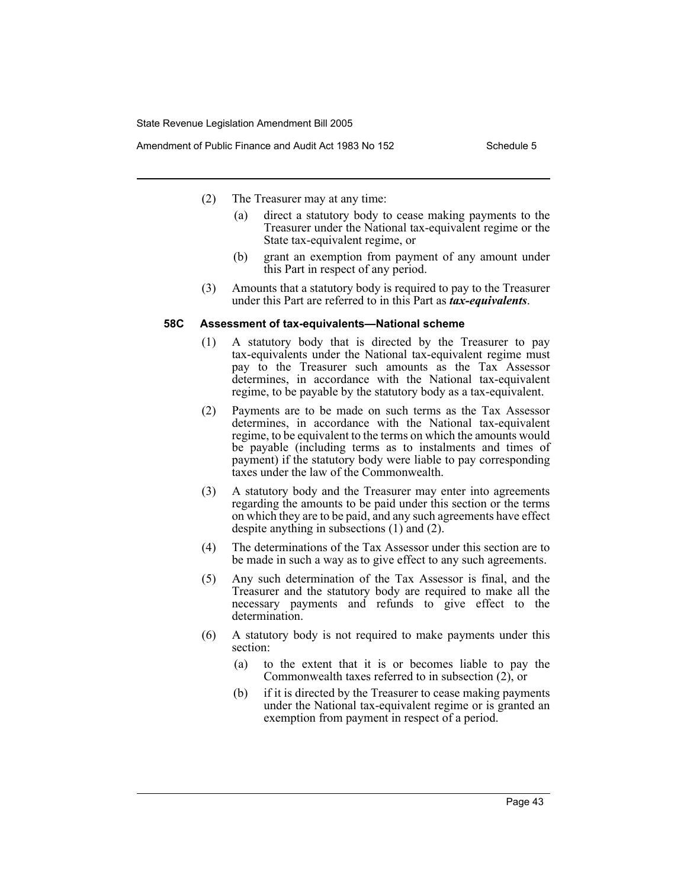Amendment of Public Finance and Audit Act 1983 No 152 Schedule 5

- (2) The Treasurer may at any time:
	- (a) direct a statutory body to cease making payments to the Treasurer under the National tax-equivalent regime or the State tax-equivalent regime, or
	- (b) grant an exemption from payment of any amount under this Part in respect of any period.
- (3) Amounts that a statutory body is required to pay to the Treasurer under this Part are referred to in this Part as *tax-equivalents*.

#### **58C Assessment of tax-equivalents—National scheme**

- (1) A statutory body that is directed by the Treasurer to pay tax-equivalents under the National tax-equivalent regime must pay to the Treasurer such amounts as the Tax Assessor determines, in accordance with the National tax-equivalent regime, to be payable by the statutory body as a tax-equivalent.
- (2) Payments are to be made on such terms as the Tax Assessor determines, in accordance with the National tax-equivalent regime, to be equivalent to the terms on which the amounts would be payable (including terms as to instalments and times of payment) if the statutory body were liable to pay corresponding taxes under the law of the Commonwealth.
- (3) A statutory body and the Treasurer may enter into agreements regarding the amounts to be paid under this section or the terms on which they are to be paid, and any such agreements have effect despite anything in subsections (1) and (2).
- (4) The determinations of the Tax Assessor under this section are to be made in such a way as to give effect to any such agreements.
- (5) Any such determination of the Tax Assessor is final, and the Treasurer and the statutory body are required to make all the necessary payments and refunds to give effect to the determination.
- (6) A statutory body is not required to make payments under this section:
	- (a) to the extent that it is or becomes liable to pay the Commonwealth taxes referred to in subsection (2), or
	- (b) if it is directed by the Treasurer to cease making payments under the National tax-equivalent regime or is granted an exemption from payment in respect of a period.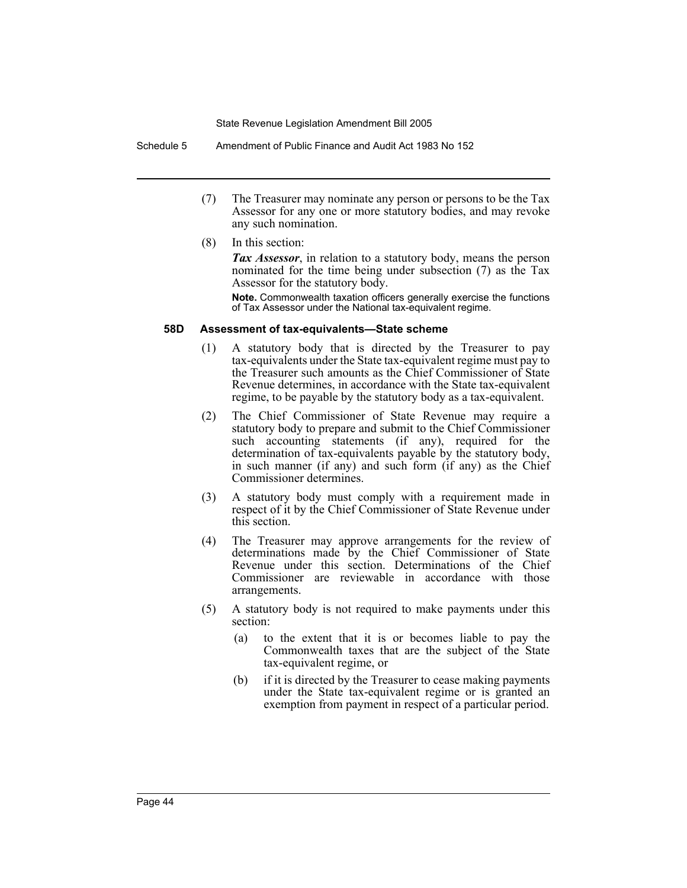Schedule 5 Amendment of Public Finance and Audit Act 1983 No 152

- (7) The Treasurer may nominate any person or persons to be the Tax Assessor for any one or more statutory bodies, and may revoke any such nomination.
- (8) In this section:

*Tax Assessor*, in relation to a statutory body, means the person nominated for the time being under subsection (7) as the Tax Assessor for the statutory body.

**Note.** Commonwealth taxation officers generally exercise the functions of Tax Assessor under the National tax-equivalent regime.

#### **58D Assessment of tax-equivalents—State scheme**

- (1) A statutory body that is directed by the Treasurer to pay tax-equivalents under the State tax-equivalent regime must pay to the Treasurer such amounts as the Chief Commissioner of State Revenue determines, in accordance with the State tax-equivalent regime, to be payable by the statutory body as a tax-equivalent.
- (2) The Chief Commissioner of State Revenue may require a statutory body to prepare and submit to the Chief Commissioner such accounting statements (if any), required for the determination of tax-equivalents payable by the statutory body, in such manner (if any) and such form (if any) as the Chief Commissioner determines.
- (3) A statutory body must comply with a requirement made in respect of it by the Chief Commissioner of State Revenue under this section.
- (4) The Treasurer may approve arrangements for the review of determinations made by the Chief Commissioner of State Revenue under this section. Determinations of the Chief Commissioner are reviewable in accordance with those arrangements.
- (5) A statutory body is not required to make payments under this section:
	- (a) to the extent that it is or becomes liable to pay the Commonwealth taxes that are the subject of the State tax-equivalent regime, or
	- (b) if it is directed by the Treasurer to cease making payments under the State tax-equivalent regime or is granted an exemption from payment in respect of a particular period.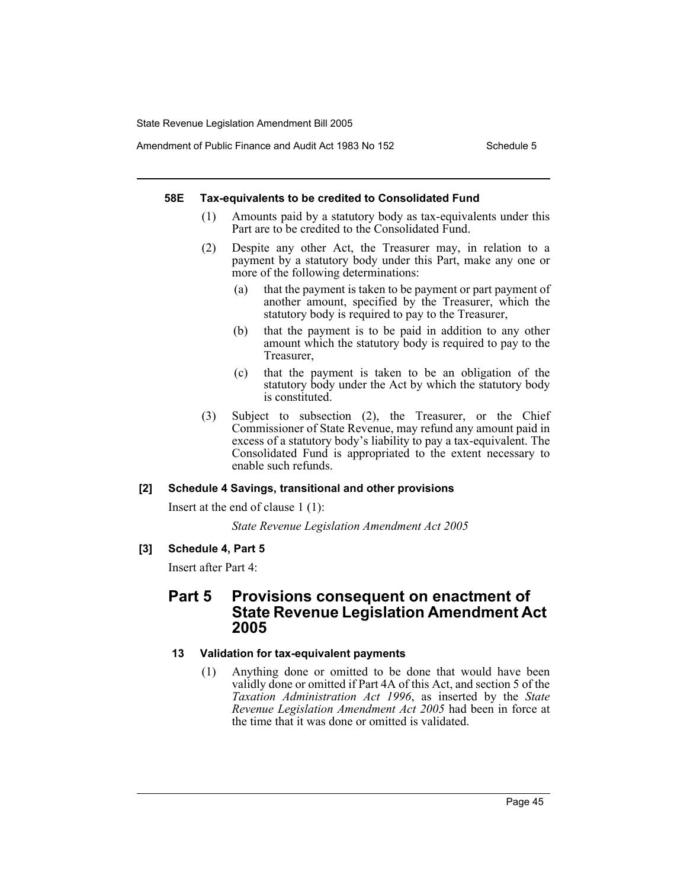Amendment of Public Finance and Audit Act 1983 No 152 Schedule 5

## **58E Tax-equivalents to be credited to Consolidated Fund**

- (1) Amounts paid by a statutory body as tax-equivalents under this Part are to be credited to the Consolidated Fund.
- (2) Despite any other Act, the Treasurer may, in relation to a payment by a statutory body under this Part, make any one or more of the following determinations:
	- (a) that the payment is taken to be payment or part payment of another amount, specified by the Treasurer, which the statutory body is required to pay to the Treasurer,
	- (b) that the payment is to be paid in addition to any other amount which the statutory body is required to pay to the Treasurer,
	- (c) that the payment is taken to be an obligation of the statutory body under the Act by which the statutory body is constituted.
- (3) Subject to subsection (2), the Treasurer, or the Chief Commissioner of State Revenue, may refund any amount paid in excess of a statutory body's liability to pay a tax-equivalent. The Consolidated Fund is appropriated to the extent necessary to enable such refunds.

# **[2] Schedule 4 Savings, transitional and other provisions**

Insert at the end of clause 1 (1):

*State Revenue Legislation Amendment Act 2005*

# **[3] Schedule 4, Part 5**

Insert after Part 4:

# **Part 5 Provisions consequent on enactment of State Revenue Legislation Amendment Act 2005**

# **13 Validation for tax-equivalent payments**

(1) Anything done or omitted to be done that would have been validly done or omitted if Part 4A of this Act, and section 5 of the *Taxation Administration Act 1996*, as inserted by the *State Revenue Legislation Amendment Act 2005* had been in force at the time that it was done or omitted is validated.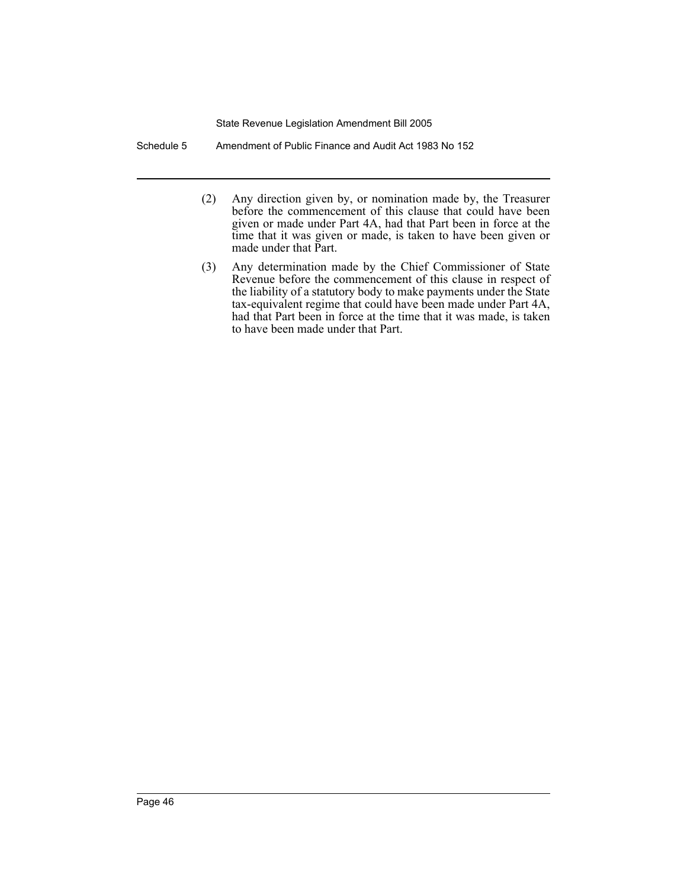Schedule 5 Amendment of Public Finance and Audit Act 1983 No 152

- (2) Any direction given by, or nomination made by, the Treasurer before the commencement of this clause that could have been given or made under Part 4A, had that Part been in force at the time that it was given or made, is taken to have been given or made under that Part.
- (3) Any determination made by the Chief Commissioner of State Revenue before the commencement of this clause in respect of the liability of a statutory body to make payments under the State tax-equivalent regime that could have been made under Part 4A, had that Part been in force at the time that it was made, is taken to have been made under that Part.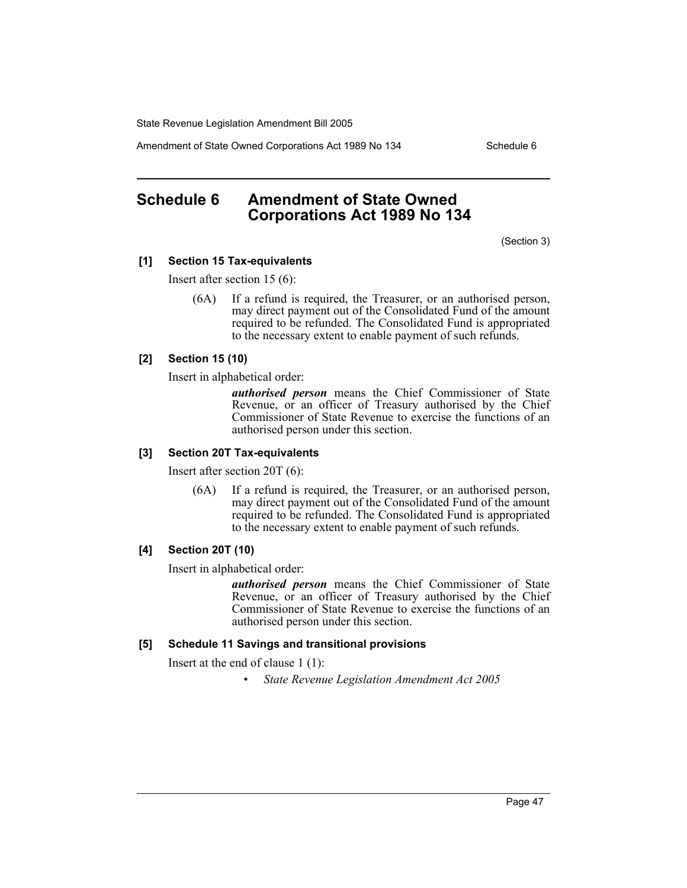Amendment of State Owned Corporations Act 1989 No 134 Schedule 6

# **Schedule 6 Amendment of State Owned Corporations Act 1989 No 134**

(Section 3)

# **[1] Section 15 Tax-equivalents**

Insert after section 15 (6):

(6A) If a refund is required, the Treasurer, or an authorised person, may direct payment out of the Consolidated Fund of the amount required to be refunded. The Consolidated Fund is appropriated to the necessary extent to enable payment of such refunds.

# **[2] Section 15 (10)**

Insert in alphabetical order:

*authorised person* means the Chief Commissioner of State Revenue, or an officer of Treasury authorised by the Chief Commissioner of State Revenue to exercise the functions of an authorised person under this section.

## **[3] Section 20T Tax-equivalents**

Insert after section 20T (6):

(6A) If a refund is required, the Treasurer, or an authorised person, may direct payment out of the Consolidated Fund of the amount required to be refunded. The Consolidated Fund is appropriated to the necessary extent to enable payment of such refunds.

## **[4] Section 20T (10)**

Insert in alphabetical order:

*authorised person* means the Chief Commissioner of State Revenue, or an officer of Treasury authorised by the Chief Commissioner of State Revenue to exercise the functions of an authorised person under this section.

# **[5] Schedule 11 Savings and transitional provisions**

Insert at the end of clause 1 (1):

• *State Revenue Legislation Amendment Act 2005*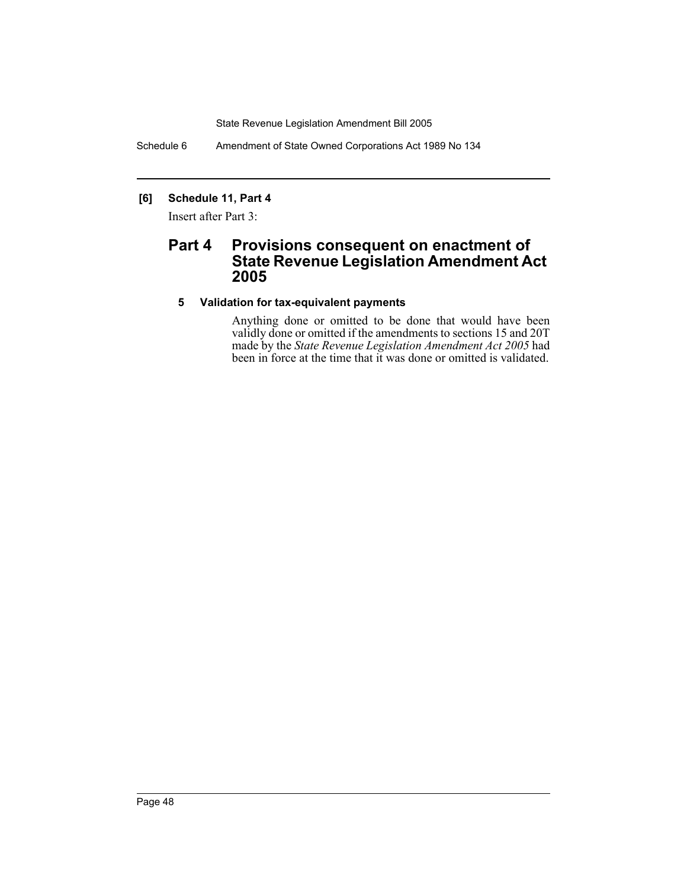Schedule 6 Amendment of State Owned Corporations Act 1989 No 134

# **[6] Schedule 11, Part 4**

Insert after Part 3:

# **Part 4 Provisions consequent on enactment of State Revenue Legislation Amendment Act 2005**

# **5 Validation for tax-equivalent payments**

Anything done or omitted to be done that would have been validly done or omitted if the amendments to sections 15 and 20T made by the *State Revenue Legislation Amendment Act 2005* had been in force at the time that it was done or omitted is validated.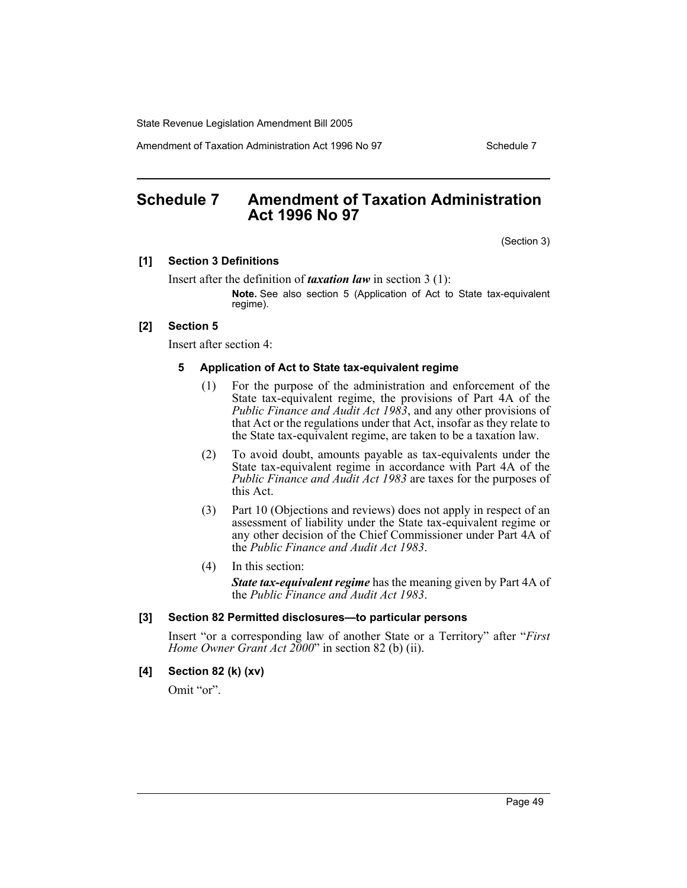Amendment of Taxation Administration Act 1996 No 97 Schedule 7

# **Schedule 7 Amendment of Taxation Administration Act 1996 No 97**

(Section 3)

# **[1] Section 3 Definitions**

Insert after the definition of *taxation law* in section 3 (1): **Note.** See also section 5 (Application of Act to State tax-equivalent

#### **[2] Section 5**

Insert after section 4:

regime).

#### **5 Application of Act to State tax-equivalent regime**

- (1) For the purpose of the administration and enforcement of the State tax-equivalent regime, the provisions of Part 4A of the *Public Finance and Audit Act 1983*, and any other provisions of that Act or the regulations under that Act, insofar as they relate to the State tax-equivalent regime, are taken to be a taxation law.
- (2) To avoid doubt, amounts payable as tax-equivalents under the State tax-equivalent regime in accordance with Part 4A of the *Public Finance and Audit Act 1983* are taxes for the purposes of this Act.
- (3) Part 10 (Objections and reviews) does not apply in respect of an assessment of liability under the State tax-equivalent regime or any other decision of the Chief Commissioner under Part 4A of the *Public Finance and Audit Act 1983*.
- (4) In this section:

*State tax-equivalent regime* has the meaning given by Part 4A of the *Public Finance and Audit Act 1983*.

#### **[3] Section 82 Permitted disclosures—to particular persons**

Insert "or a corresponding law of another State or a Territory" after "*First Home Owner Grant Act 2000*" in section 82 (b) (ii).

#### **[4] Section 82 (k) (xv)**

Omit "or".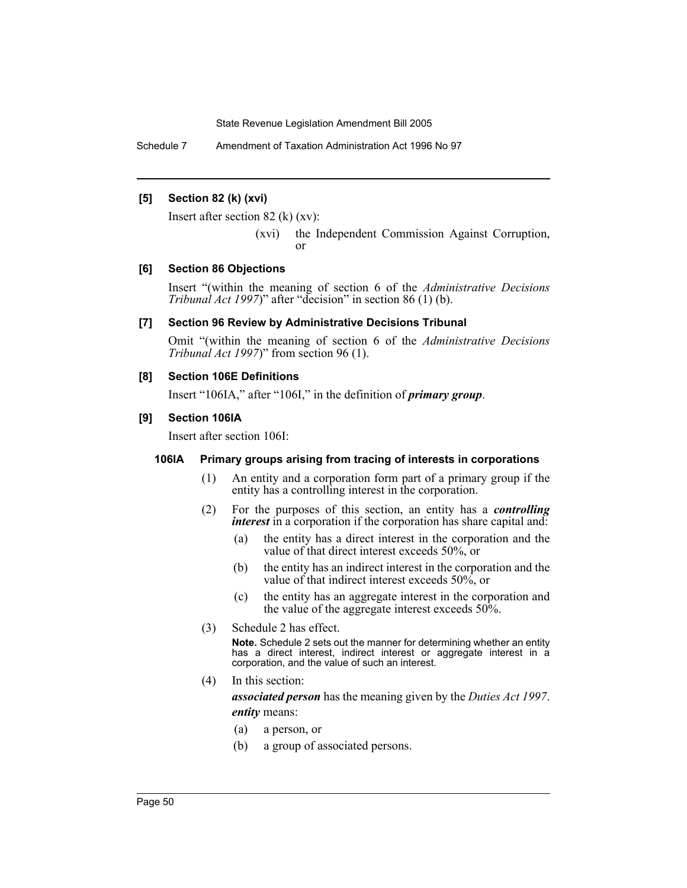Schedule 7 Amendment of Taxation Administration Act 1996 No 97

# **[5] Section 82 (k) (xvi)**

Insert after section 82 (k) (xv):

(xvi) the Independent Commission Against Corruption, or

# **[6] Section 86 Objections**

Insert "(within the meaning of section 6 of the *Administrative Decisions Tribunal Act 1997*)" after "decision" in section 86 (1) (b).

# **[7] Section 96 Review by Administrative Decisions Tribunal**

Omit "(within the meaning of section 6 of the *Administrative Decisions Tribunal Act 1997*)" from section 96 (1).

# **[8] Section 106E Definitions**

Insert "106IA," after "106I," in the definition of *primary group*.

# **[9] Section 106IA**

Insert after section 106I:

## **106IA Primary groups arising from tracing of interests in corporations**

- (1) An entity and a corporation form part of a primary group if the entity has a controlling interest in the corporation.
- (2) For the purposes of this section, an entity has a *controlling interest* in a corporation if the corporation has share capital and:
	- (a) the entity has a direct interest in the corporation and the value of that direct interest exceeds 50%, or
	- (b) the entity has an indirect interest in the corporation and the value of that indirect interest exceeds 50%, or
	- (c) the entity has an aggregate interest in the corporation and the value of the aggregate interest exceeds 50%.
- (3) Schedule 2 has effect.

**Note.** Schedule 2 sets out the manner for determining whether an entity has a direct interest, indirect interest or aggregate interest in a corporation, and the value of such an interest.

(4) In this section:

*associated person* has the meaning given by the *Duties Act 1997*. *entity* means:

- (a) a person, or
- (b) a group of associated persons.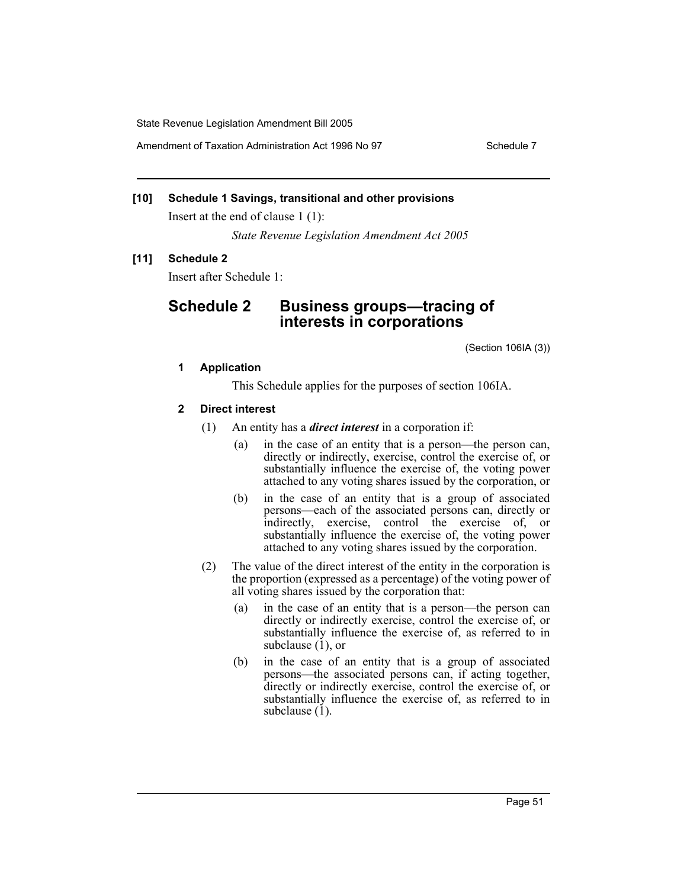Amendment of Taxation Administration Act 1996 No 97 Schedule 7

# **[10] Schedule 1 Savings, transitional and other provisions**

Insert at the end of clause 1 (1):

*State Revenue Legislation Amendment Act 2005*

# **[11] Schedule 2**

Insert after Schedule 1:

# **Schedule 2 Business groups—tracing of interests in corporations**

(Section 106IA (3))

# **1 Application**

This Schedule applies for the purposes of section 106IA.

# **2 Direct interest**

- (1) An entity has a *direct interest* in a corporation if:
	- (a) in the case of an entity that is a person—the person can, directly or indirectly, exercise, control the exercise of, or substantially influence the exercise of, the voting power attached to any voting shares issued by the corporation, or
	- (b) in the case of an entity that is a group of associated persons—each of the associated persons can, directly or indirectly, exercise, control the exercise of, or substantially influence the exercise of, the voting power attached to any voting shares issued by the corporation.
- (2) The value of the direct interest of the entity in the corporation is the proportion (expressed as a percentage) of the voting power of all voting shares issued by the corporation that:
	- (a) in the case of an entity that is a person—the person can directly or indirectly exercise, control the exercise of, or substantially influence the exercise of, as referred to in subclause (1), or
	- (b) in the case of an entity that is a group of associated persons—the associated persons can, if acting together, directly or indirectly exercise, control the exercise of, or substantially influence the exercise of, as referred to in subclause  $(1)$ .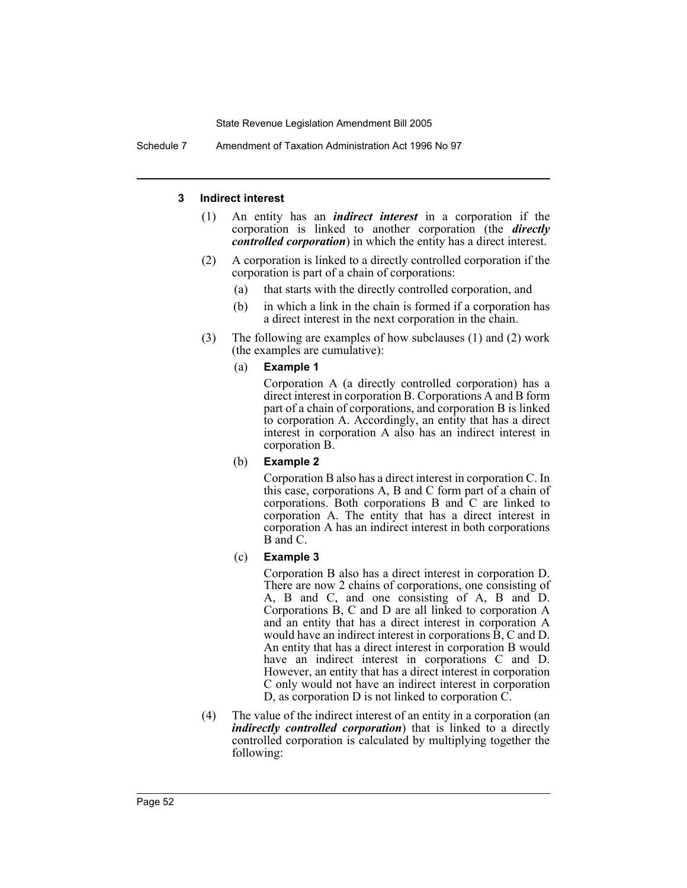Schedule 7 Amendment of Taxation Administration Act 1996 No 97

## **3 Indirect interest**

- (1) An entity has an *indirect interest* in a corporation if the corporation is linked to another corporation (the *directly controlled corporation*) in which the entity has a direct interest.
- (2) A corporation is linked to a directly controlled corporation if the corporation is part of a chain of corporations:
	- (a) that starts with the directly controlled corporation, and
	- (b) in which a link in the chain is formed if a corporation has a direct interest in the next corporation in the chain.
- (3) The following are examples of how subclauses (1) and (2) work (the examples are cumulative):

## (a) **Example 1**

Corporation A (a directly controlled corporation) has a direct interest in corporation B. Corporations A and B form part of a chain of corporations, and corporation B is linked to corporation A. Accordingly, an entity that has a direct interest in corporation A also has an indirect interest in corporation B.

(b) **Example 2**

Corporation B also has a direct interest in corporation C. In this case, corporations A, B and C form part of a chain of corporations. Both corporations B and C are linked to corporation A. The entity that has a direct interest in corporation A has an indirect interest in both corporations B and C.

## (c) **Example 3**

Corporation B also has a direct interest in corporation D. There are now 2 chains of corporations, one consisting of A, B and C, and one consisting of A, B and D. Corporations B, C and D are all linked to corporation A and an entity that has a direct interest in corporation A would have an indirect interest in corporations  $\hat{B}$ , C and D. An entity that has a direct interest in corporation B would have an indirect interest in corporations C and D. However, an entity that has a direct interest in corporation C only would not have an indirect interest in corporation D, as corporation D is not linked to corporation C.

(4) The value of the indirect interest of an entity in a corporation (an *indirectly controlled corporation*) that is linked to a directly controlled corporation is calculated by multiplying together the following: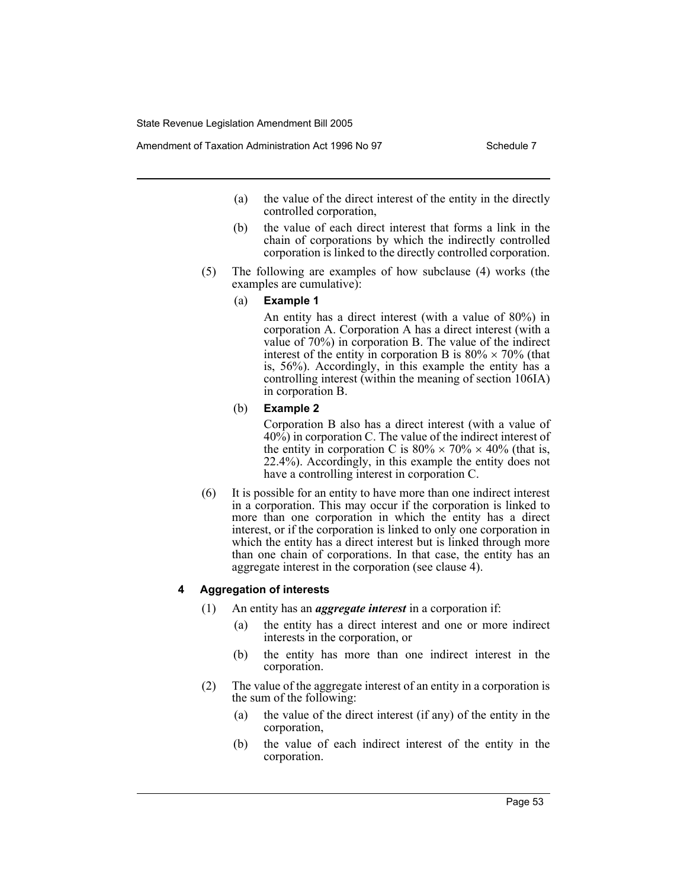Amendment of Taxation Administration Act 1996 No 97 Schedule 7

- (a) the value of the direct interest of the entity in the directly controlled corporation,
- (b) the value of each direct interest that forms a link in the chain of corporations by which the indirectly controlled corporation is linked to the directly controlled corporation.
- (5) The following are examples of how subclause (4) works (the examples are cumulative):
	- (a) **Example 1**

An entity has a direct interest (with a value of 80%) in corporation A. Corporation A has a direct interest (with a value of 70%) in corporation B. The value of the indirect interest of the entity in corporation B is  $80\% \times 70\%$  (that is, 56%). Accordingly, in this example the entity has a controlling interest (within the meaning of section 106IA) in corporation B.

(b) **Example 2**

Corporation B also has a direct interest (with a value of 40%) in corporation C. The value of the indirect interest of the entity in corporation C is  $80\% \times 70\% \times 40\%$  (that is, 22.4%). Accordingly, in this example the entity does not have a controlling interest in corporation C.

(6) It is possible for an entity to have more than one indirect interest in a corporation. This may occur if the corporation is linked to more than one corporation in which the entity has a direct interest, or if the corporation is linked to only one corporation in which the entity has a direct interest but is linked through more than one chain of corporations. In that case, the entity has an aggregate interest in the corporation (see clause 4).

## **4 Aggregation of interests**

- (1) An entity has an *aggregate interest* in a corporation if:
	- (a) the entity has a direct interest and one or more indirect interests in the corporation, or
	- (b) the entity has more than one indirect interest in the corporation.
- (2) The value of the aggregate interest of an entity in a corporation is the sum of the following:
	- (a) the value of the direct interest (if any) of the entity in the corporation,
	- (b) the value of each indirect interest of the entity in the corporation.